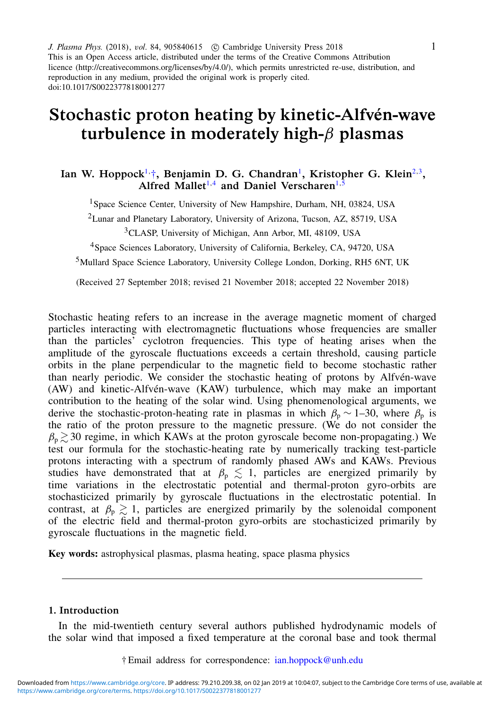J. Plasma Phys. (2018), vol. 84, 905840615 (C) Cambridge University Press 2018 This is an Open Access article, distributed under the terms of the Creative Commons Attribution licence (http://creativecommons.org/licenses/by/4.0/), which permits unrestricted re-use, distribution, and reproduction in any medium, provided the original work is properly cited. doi:10.1017/S0022377818001277

# Stochastic proton heating by kinetic-Alfvén-wave turbulence in moderately high- $\beta$  plasmas

# Ian W. [Hoppock](http://orcid.org/0000-0003-4446-3552)<sup>[1,](#page-0-0)</sup>[†](#page-0-1), [Benjamin D. G.](http://orcid.org/0000-0003-4177-3328) Chandran<sup>[1](#page-0-0)</sup>, [Kristopher G.](http://orcid.org/0000-0001-6038-1923) Klein<sup>[2](#page-0-2)[,3](#page-0-3)</sup>, Alfred Mallet<sup>[1,](#page-0-0)[4](#page-0-4)</sup> and Daniel [Verscharen](http://orcid.org/0000-0002-0497-1096)<sup>[1](#page-0-0)[,5](#page-0-5)</sup>

<span id="page-0-0"></span><sup>1</sup>Space Science Center, University of New Hampshire, Durham, NH, 03824, USA

<span id="page-0-2"></span><sup>2</sup>Lunar and Planetary Laboratory, University of Arizona, Tucson, AZ, 85719, USA

<span id="page-0-3"></span><sup>3</sup>CLASP, University of Michigan, Ann Arbor, MI, 48109, USA

<span id="page-0-4"></span><sup>4</sup>Space Sciences Laboratory, University of California, Berkeley, CA, 94720, USA

<span id="page-0-5"></span><sup>5</sup>Mullard Space Science Laboratory, University College London, Dorking, RH5 6NT, UK

(Received 27 September 2018; revised 21 November 2018; accepted 22 November 2018)

Stochastic heating refers to an increase in the average magnetic moment of charged particles interacting with electromagnetic fluctuations whose frequencies are smaller than the particles' cyclotron frequencies. This type of heating arises when the amplitude of the gyroscale fluctuations exceeds a certain threshold, causing particle orbits in the plane perpendicular to the magnetic field to become stochastic rather than nearly periodic. We consider the stochastic heating of protons by Alfvén-wave (AW) and kinetic-Alfvén-wave (KAW) turbulence, which may make an important contribution to the heating of the solar wind. Using phenomenological arguments, we derive the stochastic-proton-heating rate in plasmas in which  $\beta_p \sim 1-30$ , where  $\beta_p$  is the ratio of the proton pressure to the magnetic pressure. (We do not consider the  $\beta_p \gtrsim 30$  regime, in which KAWs at the proton gyroscale become non-propagating.) We test our formula for the stochastic-heating rate by numerically tracking test-particle protons interacting with a spectrum of randomly phased AWs and KAWs. Previous studies have demonstrated that at  $\beta_p \lesssim 1$ , particles are energized primarily by time variations in the electrostatic potential and thermal-proton gyro-orbits are stochasticized primarily by gyroscale fluctuations in the electrostatic potential. In contrast, at  $\beta_p \gtrsim 1$ , particles are energized primarily by the solenoidal component of the electric field and thermal-proton gyro-orbits are stochasticized primarily by gyroscale fluctuations in the magnetic field.

Key words: astrophysical plasmas, plasma heating, space plasma physics

## 1. Introduction

<span id="page-0-1"></span>In the mid-twentieth century several authors published hydrodynamic models of the solar wind that imposed a fixed temperature at the coronal base and took thermal

† Email address for correspondence: [ian.hoppock@unh.edu](mailto:ian.hoppock@unh.edu)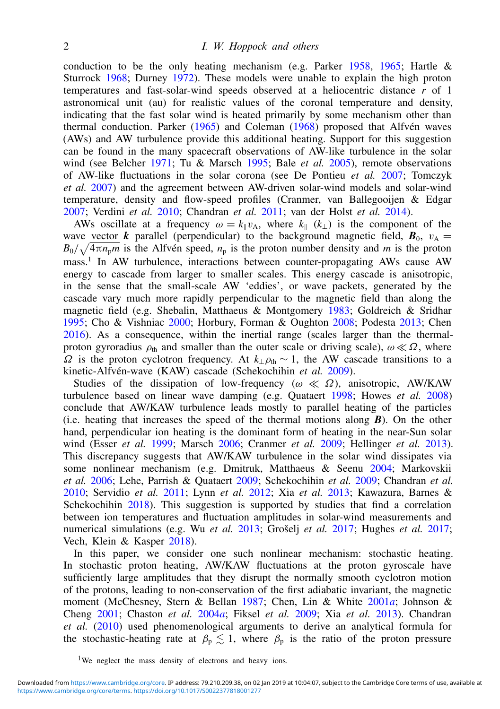conduction to be the only heating mechanism (e.g. Parker [1958,](#page-20-0) [1965;](#page-20-1) Hartle & Sturrock [1968;](#page-19-0) Durney [1972\)](#page-18-0). These models were unable to explain the high proton temperatures and fast-solar-wind speeds observed at a heliocentric distance *r* of 1 astronomical unit (au) for realistic values of the coronal temperature and density, indicating that the fast solar wind is heated primarily by some mechanism other than thermal conduction. Parker [\(1965\)](#page-20-1) and Coleman [\(1968\)](#page-18-1) proposed that Alfvén waves (AWs) and AW turbulence provide this additional heating. Support for this suggestion can be found in the many spacecraft observations of AW-like turbulence in the solar wind (see Belcher [1971;](#page-18-2) Tu & Marsch [1995;](#page-20-2) Bale *et al.* [2005\)](#page-18-3), remote observations of AW-like fluctuations in the solar corona (see De Pontieu *et al.* [2007;](#page-18-4) Tomczyk *et al.* [2007\)](#page-20-3) and the agreement between AW-driven solar-wind models and solar-wind temperature, density and flow-speed profiles (Cranmer, van Ballegooijen & Edgar [2007;](#page-18-5) Verdini *et al.* [2010;](#page-20-4) Chandran *et al.* [2011;](#page-18-6) van der Holst *et al.* [2014\)](#page-19-1).

AWs oscillate at a frequency  $\omega = k_{\parallel}v_A$ , where  $k_{\parallel}$  ( $k_{\perp}$ ) is the component of the wave vector *k* parallel (perpendicular) to the background magnetic field,  $\mathbf{B}_0$ ,  $v_A$  =  $B_0/\sqrt{4\pi n_p m}$  is the Alfvén speed,  $n_p$  is the proton number density and *m* is the proton mass.<sup>1</sup> In AW turbulence, interactions between counter-propagating AWs cause AW energy to cascade from larger to smaller scales. This energy cascade is anisotropic, in the sense that the small-scale AW 'eddies', or wave packets, generated by the cascade vary much more rapidly perpendicular to the magnetic field than along the magnetic field (e.g. Shebalin, Matthaeus & Montgomery [1983;](#page-20-5) Goldreich & Sridhar [1995;](#page-19-2) Cho & Vishniac [2000;](#page-18-7) Horbury, Forman & Oughton [2008;](#page-19-3) Podesta [2013;](#page-20-6) Chen [2016\)](#page-18-8). As a consequence, within the inertial range (scales larger than the thermalproton gyroradius  $\rho_{th}$  and smaller than the outer scale or driving scale),  $\omega \ll \Omega$ , where  $Ω$  is the proton cyclotron frequency. At  $k_\perp \rho_{th} \sim 1$ , the AW cascade transitions to a kinetic-Alfvén-wave (KAW) cascade (Schekochihin *et al.* [2009\)](#page-20-7).

Studies of the dissipation of low-frequency ( $\omega \ll \Omega$ ), anisotropic, AW/KAW turbulence based on linear wave damping (e.g. Quataert [1998;](#page-20-8) Howes *et al.* [2008\)](#page-19-4) conclude that AW/KAW turbulence leads mostly to parallel heating of the particles (i.e. heating that increases the speed of the thermal motions along *B*). On the other hand, perpendicular ion heating is the dominant form of heating in the near-Sun solar wind (Esser *et al.* [1999;](#page-19-5) Marsch [2006;](#page-20-9) Cranmer *et al.* [2009;](#page-18-9) Hellinger *et al.* [2013\)](#page-19-6). This discrepancy suggests that AW/KAW turbulence in the solar wind dissipates via some nonlinear mechanism (e.g. Dmitruk, Matthaeus & Seenu [2004;](#page-18-10) Markovskii *et al.* [2006;](#page-20-10) Lehe, Parrish & Quataert [2009;](#page-19-7) Schekochihin *et al.* [2009;](#page-20-7) Chandran *et al.* [2010;](#page-18-11) Servidio *et al.* [2011;](#page-20-11) Lynn *et al.* [2012;](#page-19-8) Xia *et al.* [2013;](#page-20-12) Kawazura, Barnes & Schekochihin [2018\)](#page-19-9). This suggestion is supported by studies that find a correlation between ion temperatures and fluctuation amplitudes in solar-wind measurements and numerical simulations (e.g. Wu *et al.* [2013;](#page-20-13) Grošelj *et al.* [2017;](#page-19-10) Hughes *et al.* [2017;](#page-19-11) Vech, Klein & Kasper [2018\)](#page-20-14).

In this paper, we consider one such nonlinear mechanism: stochastic heating. In stochastic proton heating, AW/KAW fluctuations at the proton gyroscale have sufficiently large amplitudes that they disrupt the normally smooth cyclotron motion of the protons, leading to non-conservation of the first adiabatic invariant, the magnetic moment (McChesney, Stern & Bellan [1987;](#page-20-15) Chen, Lin & White [2001](#page-18-12)*a*; Johnson & Cheng [2001;](#page-19-12) Chaston *et al.* [2004](#page-18-13)*a*; Fiksel *et al.* [2009;](#page-19-13) Xia *et al.* [2013\)](#page-20-12). Chandran *et al.* [\(2010\)](#page-18-11) used phenomenological arguments to derive an analytical formula for the stochastic-heating rate at  $\beta_p \lesssim 1$ , where  $\beta_p$  is the ratio of the proton pressure

<sup>&</sup>lt;sup>1</sup>We neglect the mass density of electrons and heavy ions.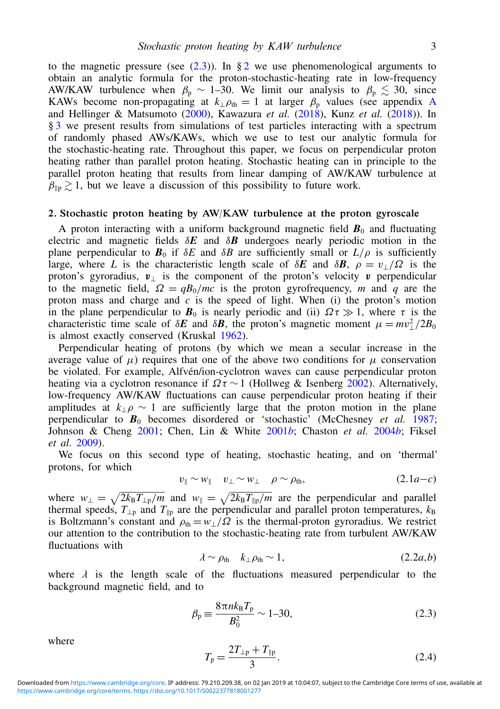to the magnetic pressure (see  $(2.3)$ ). In § [2](#page-2-1) we use phenomenological arguments to obtain an analytic formula for the proton-stochastic-heating rate in low-frequency AW/KAW turbulence when  $\beta_p \sim 1-30$ . We limit our analysis to  $\beta_p \lesssim 30$ , since K[A](#page-16-0)Ws become non-propagating at  $k_{\perp}$  $\rho_{th} = 1$  at larger  $\beta_p$  values (see appendix A and Hellinger & Matsumoto [\(2000\)](#page-19-14), Kawazura *et al.* [\(2018\)](#page-19-9), Kunz *et al.* [\(2018\)](#page-19-15)). In § [3](#page-10-0) we present results from simulations of test particles interacting with a spectrum of randomly phased AWs/KAWs, which we use to test our analytic formula for the stochastic-heating rate. Throughout this paper, we focus on perpendicular proton heating rather than parallel proton heating. Stochastic heating can in principle to the parallel proton heating that results from linear damping of AW/KAW turbulence at  $\beta_{\parallel p} \gtrsim 1$ , but we leave a discussion of this possibility to future work.

## <span id="page-2-1"></span>2. Stochastic proton heating by AW/KAW turbulence at the proton gyroscale

A proton interacting with a uniform background magnetic field  $\mathbf{B}_0$  and fluctuating electric and magnetic fields δ*E* and δ*B* undergoes nearly periodic motion in the plane perpendicular to  $\mathbf{B}_0$  if  $\delta E$  and  $\delta B$  are sufficiently small or  $L/\rho$  is sufficiently large, where *L* is the characteristic length scale of  $\delta E$  and  $\delta B$ ,  $\rho = v/\Omega$  is the proton's gyroradius,  $v_{\perp}$  is the component of the proton's velocity v perpendicular to the magnetic field,  $\Omega = qB_0/mc$  is the proton gyrofrequency, *m* and *q* are the proton mass and charge and  $c$  is the speed of light. When  $(i)$  the proton's motion in the plane perpendicular to  $B_0$  is nearly periodic and (ii)  $\Omega \tau \gg 1$ , where  $\tau$  is the characteristic time scale of  $\delta E$  and  $\delta B$ , the proton's magnetic moment  $\mu = mv_{\perp}^2/2B_0$ is almost exactly conserved (Kruskal [1962\)](#page-19-16).

Perpendicular heating of protons (by which we mean a secular increase in the average value of  $\mu$ ) requires that one of the above two conditions for  $\mu$  conservation be violated. For example, Alfvén/ion-cyclotron waves can cause perpendicular proton heating via a cyclotron resonance if  $\Omega \tau \sim 1$  (Hollweg & Isenberg [2002\)](#page-19-17). Alternatively, low-frequency AW/KAW fluctuations can cause perpendicular proton heating if their amplitudes at  $k_1 \rho \sim 1$  are sufficiently large that the proton motion in the plane perpendicular to *B*<sup>0</sup> becomes disordered or 'stochastic' (McChesney *et al.* [1987;](#page-20-15) Johnson & Cheng [2001;](#page-19-12) Chen, Lin & White [2001](#page-18-14)*b*; Chaston *et al.* [2004](#page-18-15)*b*; Fiksel *et al.* [2009\)](#page-19-13).

We focus on this second type of heating, stochastic heating, and on 'thermal' protons, for which

$$
v_{\parallel} \sim w_{\parallel} \quad v_{\perp} \sim w_{\perp} \quad \rho \sim \rho_{\text{th}}, \tag{2.1a-c}
$$

where  $w_{\perp} = \sqrt{2k_B T_{\perp p}/m}$  and  $w_{\parallel} = \sqrt{2k_B T_{\parallel p}/m}$  are the perpendicular and parallel thermal speeds,  $T_{\perp p}$  and  $T_{\parallel p}$  are the perpendicular and parallel proton temperatures,  $k_B$ is Boltzmann's constant and  $\rho_{\text{th}} = w_\perp/\bar{\Omega}$  is the thermal-proton gyroradius. We restrict our attention to the contribution to the stochastic-heating rate from turbulent AW/KAW fluctuations with

<span id="page-2-2"></span>
$$
\lambda \sim \rho_{\text{th}} \quad k_{\perp} \rho_{\text{th}} \sim 1, \tag{2.2a,b}
$$

where  $\lambda$  is the length scale of the fluctuations measured perpendicular to the background magnetic field and to background magnetic field, and to

<span id="page-2-0"></span>
$$
\beta_{\rm p} \equiv \frac{8\pi n k_{\rm B} T_{\rm p}}{B_0^2} \sim 1\text{--}30,\tag{2.3}
$$

where

$$
T_{\rm p} = \frac{2T_{\rm \perp p} + T_{\rm \parallel p}}{3}.
$$
\n(2.4)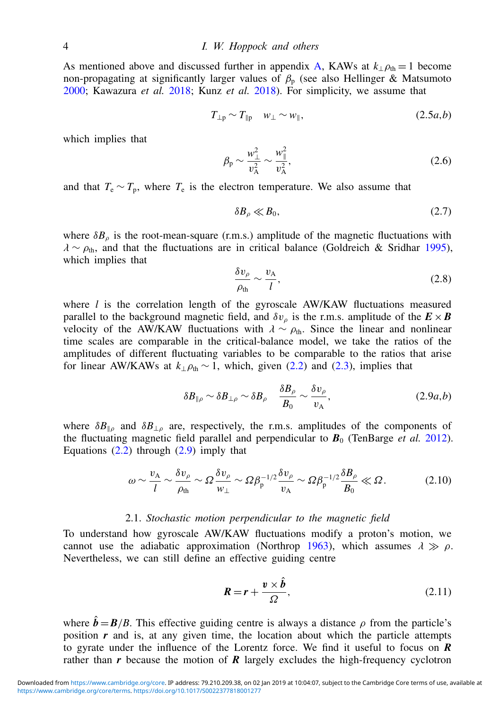As mentioned above and discussed further in appendix [A,](#page-16-0) KAWs at  $k_{\perp} \rho_{\text{th}} = 1$  become non-propagating at significantly larger values of  $β<sub>p</sub>$  (see also Hellinger & Matsumoto [2000;](#page-19-14) Kawazura *et al.* [2018;](#page-19-9) Kunz *et al.* [2018\)](#page-19-15). For simplicity, we assume that

$$
T_{\perp p} \sim T_{\parallel p} \quad w_{\perp} \sim w_{\parallel}, \tag{2.5a,b}
$$

which implies that

<span id="page-3-2"></span>
$$
\beta_{\rm p} \sim \frac{w_{\perp}^2}{v_{\rm A}^2} \sim \frac{w_{\parallel}^2}{v_{\rm A}^2},\tag{2.6}
$$

and that  $T_e \sim T_p$ , where  $T_e$  is the electron temperature. We also assume that

<span id="page-3-3"></span>
$$
\delta B_{\rho} \ll B_0,\tag{2.7}
$$

where  $\delta B_{\rho}$  is the root-mean-square (r.m.s.) amplitude of the magnetic fluctuations with  $\lambda \sim \rho_{\text{th}}$ , and that the fluctuations are in critical balance (Goldreich & Sridhar [1995\)](#page-19-2), which implies that

<span id="page-3-4"></span>
$$
\frac{\delta v_{\rho}}{\rho_{\rm th}} \sim \frac{v_{\rm A}}{l},\tag{2.8}
$$

where *l* is the correlation length of the gyroscale AW/KAW fluctuations measured parallel to the background magnetic field, and  $\delta v_{\rho}$  is the r.m.s. amplitude of the  $\mathbf{E} \times \mathbf{B}$ velocity of the AW/KAW fluctuations with  $\lambda \sim \rho_{\text{th}}$ . Since the linear and nonlinear time scales are comparable in the critical-balance model, we take the ratios of the amplitudes of different fluctuating variables to be comparable to the ratios that arise for linear AW/KAWs at  $k_{\perp} \rho_{th} \sim 1$ , which, given [\(2.2\)](#page-2-2) and [\(2.3\)](#page-2-0), implies that

<span id="page-3-0"></span>
$$
\delta B_{\|\rho} \sim \delta B_{\perp \rho} \sim \delta B_{\rho} \quad \frac{\delta B_{\rho}}{B_0} \sim \frac{\delta v_{\rho}}{v_{\rm A}},\tag{2.9a,b}
$$

where  $\delta B_{\parallel \rho}$  and  $\delta B_{\perp \rho}$  are, respectively, the r.m.s. amplitudes of the components of the fluctuating magnetic field parallel and perpendicular to  $B_0$  (TenBarge *et al.* [2012\)](#page-20-16). Equations  $(2.2)$  through  $(2.9)$  imply that

$$
\omega \sim \frac{v_{\rm A}}{l} \sim \frac{\delta v_{\rho}}{\rho_{\rm th}} \sim \Omega \frac{\delta v_{\rho}}{w_{\perp}} \sim \Omega \beta_{\rm p}^{-1/2} \frac{\delta v_{\rho}}{v_{\rm A}} \sim \Omega \beta_{\rm p}^{-1/2} \frac{\delta B_{\rho}}{B_0} \ll \Omega. \tag{2.10}
$$

## <span id="page-3-5"></span>2.1. *Stochastic motion perpendicular to the magnetic field*

To understand how gyroscale AW/KAW fluctuations modify a proton's motion, we cannot use the adiabatic approximation (Northrop [1963\)](#page-20-17), which assumes  $\lambda \gg \rho$ . Nevertheless, we can still define an effective guiding centre

<span id="page-3-1"></span>
$$
R = r + \frac{v \times \hat{b}}{\Omega},
$$
 (2.11)

where  $\hat{b} = B/B$ . This effective guiding centre is always a distance  $\rho$  from the particle's position  $r$  and is, at any given time, the location about which the particle attempts to gyrate under the influence of the Lorentz force. We find it useful to focus on *R* rather than  $r$  because the motion of  $\overline{R}$  largely excludes the high-frequency cyclotron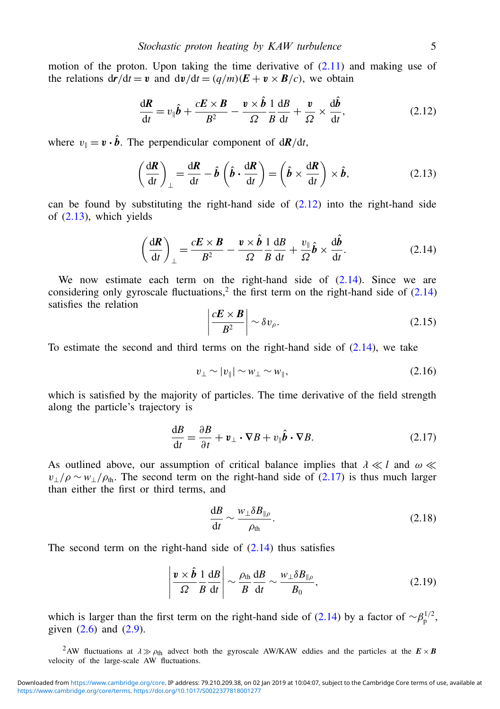motion of the proton. Upon taking the time derivative of  $(2.11)$  and making use of the relations  $d\mathbf{r}/dt = \mathbf{v}$  and  $d\mathbf{v}/dt = (q/m)(\mathbf{E} + \mathbf{v} \times \mathbf{B}/c)$ , we obtain

<span id="page-4-0"></span>
$$
\frac{\mathrm{d}\boldsymbol{R}}{\mathrm{d}t} = v_{\parallel}\hat{\boldsymbol{b}} + \frac{c\boldsymbol{E} \times \boldsymbol{B}}{B^2} - \frac{v \times \hat{\boldsymbol{b}}}{\Omega} \frac{1}{B} \frac{\mathrm{d}B}{\mathrm{d}t} + \frac{v}{\Omega} \times \frac{\mathrm{d}\hat{\boldsymbol{b}}}{\mathrm{d}t},\tag{2.12}
$$

where  $v_{\parallel} = \mathbf{v} \cdot \hat{\mathbf{b}}$ . The perpendicular component of  $d\mathbf{R}/dt$ ,

<span id="page-4-1"></span>
$$
\left(\frac{\mathrm{d}\boldsymbol{R}}{\mathrm{d}t}\right)_{\perp} = \frac{\mathrm{d}\boldsymbol{R}}{\mathrm{d}t} - \hat{\boldsymbol{b}}\left(\hat{\boldsymbol{b}}\cdot\frac{\mathrm{d}\boldsymbol{R}}{\mathrm{d}t}\right) = \left(\hat{\boldsymbol{b}}\times\frac{\mathrm{d}\boldsymbol{R}}{\mathrm{d}t}\right)\times\hat{\boldsymbol{b}},\tag{2.13}
$$

can be found by substituting the right-hand side of  $(2.12)$  into the right-hand side of  $(2.13)$ , which yields

<span id="page-4-2"></span>
$$
\left(\frac{\mathrm{d}\boldsymbol{R}}{\mathrm{d}t}\right)_{\perp} = \frac{c\boldsymbol{E}\times\boldsymbol{B}}{B^2} - \frac{v\times\hat{\boldsymbol{b}}}{\Omega}\frac{1}{B}\frac{\mathrm{d}B}{\mathrm{d}t} + \frac{v_{\parallel}}{\Omega}\hat{\boldsymbol{b}} \times \frac{\mathrm{d}\hat{\boldsymbol{b}}}{\mathrm{d}t}.\tag{2.14}
$$

We now estimate each term on the right-hand side of  $(2.14)$ . Since we are considering only gyroscale fluctuations,<sup>2</sup> the first term on the right-hand side of  $(2.14)$ satisfies the relation

$$
\left|\frac{cE\times B}{B^2}\right| \sim \delta v_\rho.
$$
\n(2.15)

To estimate the second and third terms on the right-hand side of  $(2.14)$ , we take

<span id="page-4-4"></span>
$$
v_{\perp} \sim |v_{\parallel}| \sim w_{\perp} \sim w_{\parallel},\tag{2.16}
$$

which is satisfied by the majority of particles. The time derivative of the field strength along the particle's trajectory is

<span id="page-4-3"></span>
$$
\frac{\mathrm{d}B}{\mathrm{d}t} = \frac{\partial B}{\partial t} + \mathbf{v}_{\perp} \cdot \nabla B + v_{\parallel} \hat{\boldsymbol{b}} \cdot \nabla B. \tag{2.17}
$$

As outlined above, our assumption of critical balance implies that  $\lambda \ll l$  and  $\omega \ll$  $v_{\perp}/\rho \sim w_{\perp}/\rho_{\text{th}}$ . The second term on the right-hand side of [\(2.17\)](#page-4-3) is thus much larger than either the first or third terms, and

$$
\frac{\mathrm{d}B}{\mathrm{d}t} \sim \frac{w_{\perp} \delta B_{\parallel \rho}}{\rho_{\mathrm{th}}}.\tag{2.18}
$$

The second term on the right-hand side of  $(2.14)$  thus satisfies

$$
\left|\frac{v\times\hat{b}}{\Omega}\frac{1}{B}\frac{\mathrm{d}B}{\mathrm{d}t}\right|\sim\frac{\rho_{\mathrm{th}}}{B}\frac{\mathrm{d}B}{\mathrm{d}t}\sim\frac{w_{\perp}\delta B_{\parallel\rho}}{B_{0}},\tag{2.19}
$$

which is larger than the first term on the right-hand side of [\(2.14\)](#page-4-2) by a factor of  $\sim \beta_p^{1/2}$ , given  $(2.6)$  and  $(2.9)$ .

<sup>2</sup>AW fluctuations at  $\lambda \gg \rho_{\text{th}}$  advect both the gyroscale AW/KAW eddies and the particles at the  $E \times B$ velocity of the large-scale AW fluctuations.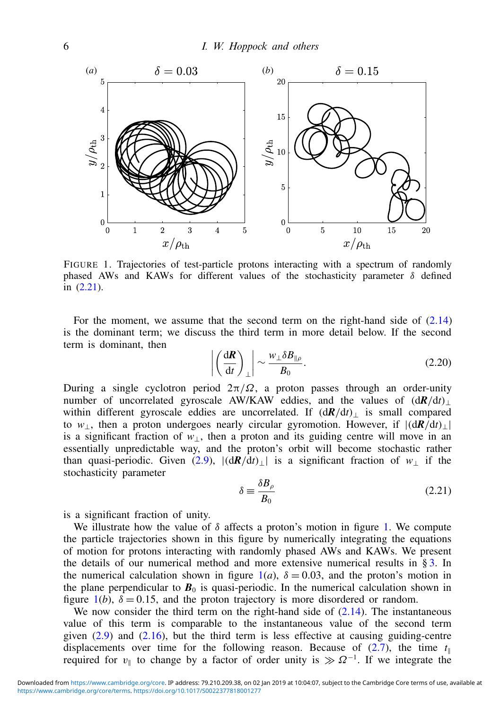<span id="page-5-1"></span>

FIGURE 1. Trajectories of test-particle protons interacting with a spectrum of randomly phased AWs and KAWs for different values of the stochasticity parameter  $\delta$  defined in [\(2.21\)](#page-5-0).

For the moment, we assume that the second term on the right-hand side of [\(2.14\)](#page-4-2) is the dominant term; we discuss the third term in more detail below. If the second term is dominant, then

<span id="page-5-2"></span>
$$
\left| \left( \frac{\mathrm{d} \mathbf{R}}{\mathrm{d} t} \right)_{\perp} \right| \sim \frac{w_{\perp} \delta B_{\parallel \rho}}{B_0}.
$$
 (2.20)

During a single cyclotron period  $2\pi/\Omega$ , a proton passes through an order-unity number of uncorrelated gyroscale AW/KAW eddies, and the values of  $(dR/dt)$ ⊥ within different gyroscale eddies are uncorrelated. If  $(dR/dt)$ <sub>⊥</sub> is small compared to  $w_{\perp}$ , then a proton undergoes nearly circular gyromotion. However, if  $|d\mathbf{R}/dt\rangle_{\perp}$ is a significant fraction of  $w_{\perp}$ , then a proton and its guiding centre will move in an essentially unpredictable way, and the proton's orbit will become stochastic rather than quasi-periodic. Given [\(2.9\)](#page-3-0),  $|(\mathbf{d}\mathbf{R}/\mathbf{d}t)|$  is a significant fraction of *w*<sub>⊥</sub> if the stochasticity parameter

<span id="page-5-0"></span>
$$
\delta \equiv \frac{\delta B_{\rho}}{B_0} \tag{2.21}
$$

is a significant fraction of unity.

We illustrate how the value of  $\delta$  affects a proton's motion in figure [1.](#page-5-1) We compute the particle trajectories shown in this figure by numerically integrating the equations of motion for protons interacting with randomly phased AWs and KAWs. We present the details of our numerical method and more extensive numerical results in  $\S 3$ . In the numerical calculation shown in figure  $1(a)$  $1(a)$ ,  $\delta = 0.03$ , and the proton's motion in the plane perpendicular to  $B_0$  is quasi-periodic. In the numerical calculation shown in figure  $1(b)$  $1(b)$ ,  $\delta = 0.15$ , and the proton trajectory is more disordered or random.

We now consider the third term on the right-hand side of  $(2.14)$ . The instantaneous value of this term is comparable to the instantaneous value of the second term given  $(2.9)$  and  $(2.16)$ , but the third term is less effective at causing guiding-centre displacements over time for the following reason. Because of  $(2.7)$ , the time  $t_{\parallel}$ required for  $v_{\parallel}$  to change by a factor of order unity is  $\gg \Omega^{-1}$ . If we integrate the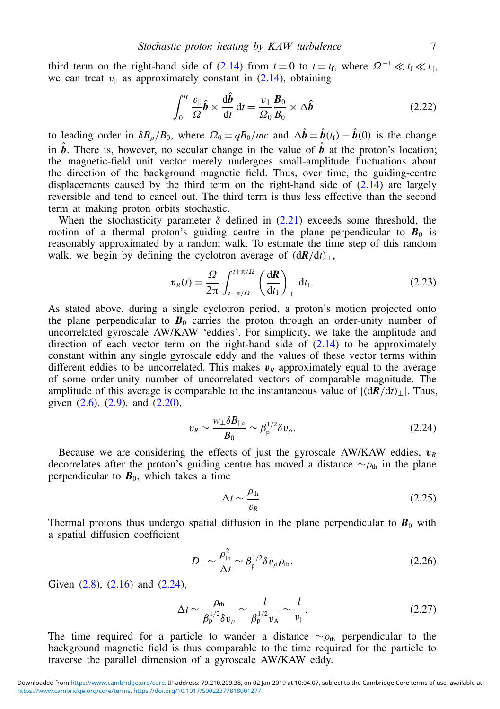third term on the right-hand side of [\(2.14\)](#page-4-2) from  $t = 0$  to  $t = t_f$ , where  $\Omega^{-1} \ll t_f \ll t_{\parallel}$ , we can treat  $v_{\parallel}$  as approximately constant in [\(2.14\)](#page-4-2), obtaining

$$
\int_0^{t_f} \frac{v_{\parallel}}{\Omega} \hat{\boldsymbol{b}} \times \frac{d\hat{\boldsymbol{b}}}{dt} dt = \frac{v_{\parallel}}{\Omega_0} \frac{\boldsymbol{B}_0}{B_0} \times \Delta \hat{\boldsymbol{b}} \tag{2.22}
$$

to leading order in  $\delta B_{\rho}/B_0$ , where  $\Omega_0 = qB_0/mc$  and  $\Delta \hat{b} = \hat{b}(t_f) - \hat{b}(0)$  is the change in  $\hat{b}$ . There is, however, no secular change in the value of  $\hat{b}$  at the proton's location; the magnetic-field unit vector merely undergoes small-amplitude fluctuations about the direction of the background magnetic field. Thus, over time, the guiding-centre displacements caused by the third term on the right-hand side of [\(2.14\)](#page-4-2) are largely reversible and tend to cancel out. The third term is thus less effective than the second term at making proton orbits stochastic.

When the stochasticity parameter  $\delta$  defined in [\(2.21\)](#page-5-0) exceeds some threshold, the motion of a thermal proton's guiding centre in the plane perpendicular to  $\mathbf{B}_0$  is reasonably approximated by a random walk. To estimate the time step of this random walk, we begin by defining the cyclotron average of  $(dR/dt)_{\perp}$ ,

$$
\mathbf{v}_R(t) \equiv \frac{\Omega}{2\pi} \int_{t-\pi/ \Omega}^{t+\pi/ \Omega} \left(\frac{\mathrm{d}\boldsymbol{R}}{\mathrm{d}t_1}\right)_{\perp} \mathrm{d}t_1. \tag{2.23}
$$

As stated above, during a single cyclotron period, a proton's motion projected onto the plane perpendicular to  $\mathbf{B}_0$  carries the proton through an order-unity number of uncorrelated gyroscale AW/KAW 'eddies'. For simplicity, we take the amplitude and direction of each vector term on the right-hand side of [\(2.14\)](#page-4-2) to be approximately constant within any single gyroscale eddy and the values of these vector terms within different eddies to be uncorrelated. This makes  $v_R$  approximately equal to the average of some order-unity number of uncorrelated vectors of comparable magnitude. The amplitude of this average is comparable to the instantaneous value of  $|(\frac{dR}{dt})_+|$ . Thus, given  $(2.6)$ ,  $(2.9)$ , and  $(2.20)$ ,

<span id="page-6-0"></span>
$$
v_R \sim \frac{w_\perp \delta B_{\parallel \rho}}{B_0} \sim \beta_{\rm p}^{1/2} \delta v_\rho. \tag{2.24}
$$

Because we are considering the effects of just the gyroscale AW/KAW eddies,  $v_R$ decorrelates after the proton's guiding centre has moved a distance  $\sim \rho_{th}$  in the plane perpendicular to  $\vec{B}_0$ , which takes a time

$$
\Delta t \sim \frac{\rho_{\text{th}}}{v_R}.\tag{2.25}
$$

Thermal protons thus undergo spatial diffusion in the plane perpendicular to  $\mathbf{B}_0$  with a spatial diffusion coefficient

$$
D_{\perp} \sim \frac{\rho_{\text{th}}^2}{\Delta t} \sim \beta_{\text{p}}^{1/2} \delta v_{\rho} \rho_{\text{th}}.
$$
 (2.26)

Given [\(2.8\)](#page-3-4), [\(2.16\)](#page-4-4) and [\(2.24\)](#page-6-0),

<span id="page-6-1"></span>
$$
\Delta t \sim \frac{\rho_{\text{th}}}{\beta_{\text{p}}^{1/2} \delta v_{\rho}} \sim \frac{l}{\beta_{\text{p}}^{1/2} v_{\text{A}}} \sim \frac{l}{v_{\parallel}}.
$$
 (2.27)

The time required for a particle to wander a distance  $\sim \rho_{th}$  perpendicular to the background magnetic field is thus comparable to the time required for the particle to traverse the parallel dimension of a gyroscale AW/KAW eddy.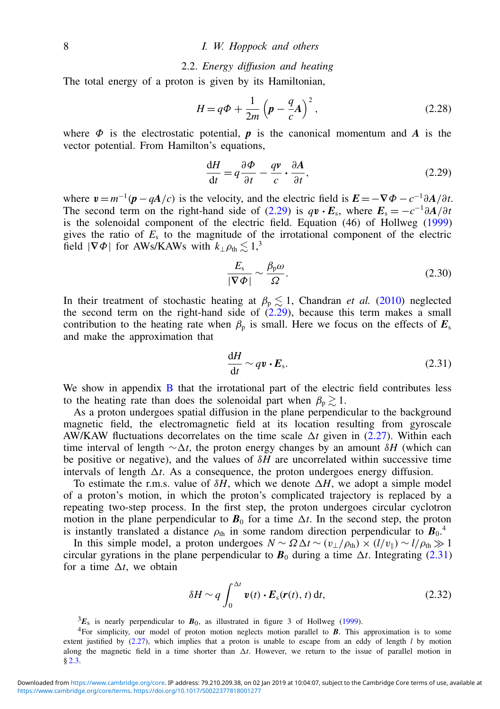## 2.2. *Energy diffusion and heating*

The total energy of a proton is given by its Hamiltonian,

$$
H = q\Phi + \frac{1}{2m} \left( p - \frac{q}{c} A \right)^2, \qquad (2.28)
$$

where  $\Phi$  is the electrostatic potential,  $\boldsymbol{p}$  is the canonical momentum and  $\boldsymbol{A}$  is the vector potential. From Hamilton's equations,

<span id="page-7-0"></span>
$$
\frac{dH}{dt} = q\frac{\partial\Phi}{\partial t} - \frac{qv}{c} \cdot \frac{\partial A}{\partial t},\tag{2.29}
$$

where  $v = m^{-1}(p - qA/c)$  is the velocity, and the electric field is  $E = -\nabla \Phi - c^{-1}\partial A/\partial t$ . The second term on the right-hand side of [\(2.29\)](#page-7-0) is  $q\mathbf{v} \cdot \mathbf{E}_s$ , where  $\mathbf{E}_s = -c^{-1} \partial \mathbf{A}/\partial t$ is the solenoidal component of the electric field. Equation (46) of Hollweg [\(1999\)](#page-19-18) gives the ratio of  $E_s$  to the magnitude of the irrotational component of the electric field  $|\nabla \Phi|$  for AWs/KAWs with  $k_{\perp} \rho_{\text{th}} \lesssim 1,^3$ 

$$
\frac{E_s}{|\nabla \Phi|} \sim \frac{\beta_p \omega}{\Omega}.
$$
\n(2.30)

In their treatment of stochastic heating at  $\beta_p \lesssim 1$ , Chandran *et al.* [\(2010\)](#page-18-11) neglected the second term on the right-hand side of [\(2.29\)](#page-7-0), because this term makes a small contribution to the heating rate when  $\beta_p$  is small. Here we focus on the effects of  $E_s$ and make the approximation that

<span id="page-7-1"></span>
$$
\frac{\mathrm{d}H}{\mathrm{d}t} \sim q\mathbf{v} \cdot \mathbf{E}_\mathrm{s}.\tag{2.31}
$$

We show in appendix [B](#page-16-1) that the irrotational part of the electric field contributes less to the heating rate than does the solenoidal part when  $\beta_p \geq 1$ .

As a proton undergoes spatial diffusion in the plane perpendicular to the background magnetic field, the electromagnetic field at its location resulting from gyroscale AW/KAW fluctuations decorrelates on the time scale  $\Delta t$  given in [\(2.27\)](#page-6-1). Within each time interval of length  $\sim \Delta t$ , the proton energy changes by an amount  $\delta H$  (which can be positive or negative), and the values of δ*H* are uncorrelated within successive time intervals of length  $\Delta t$ . As a consequence, the proton undergoes energy diffusion.

To estimate the r.m.s. value of  $\delta H$ , which we denote  $\Delta H$ , we adopt a simple model of a proton's motion, in which the proton's complicated trajectory is replaced by a repeating two-step process. In the first step, the proton undergoes circular cyclotron motion in the plane perpendicular to  $\mathbf{B}_0$  for a time  $\Delta t$ . In the second step, the proton is instantly translated a distance  $\rho_{th}$  in some random direction perpendicular to  $B_0$ .<sup>4</sup>

In this simple model, a proton undergoes  $N \sim \Omega \Delta t \sim (v_{\perp}/\rho_{\text{th}}) \times (l/v_{\parallel}) \sim l/\rho_{\text{th}} \gg 1$ circular gyrations in the plane perpendicular to  $B_0$  during a time  $\Delta t$ . Integrating [\(2.31\)](#page-7-1) for a time  $\Delta t$ , we obtain

<span id="page-7-2"></span>
$$
\delta H \sim q \int_0^{\Delta t} \mathbf{v}(t) \cdot \mathbf{E}_s(\mathbf{r}(t), t) \, \mathrm{d}t,\tag{2.32}
$$

 ${}^{3}E_{s}$  is nearly perpendicular to  $B_{0}$ , as illustrated in figure 3 of Hollweg [\(1999\)](#page-19-18).

<sup>4</sup>For simplicity, our model of proton motion neglects motion parallel to *B*. This approximation is to some extent justified by [\(2.27\)](#page-6-1), which implies that a proton is unable to escape from an eddy of length *l* by motion along the magnetic field in a time shorter than  $\Delta t$ . However, we return to the issue of parallel motion in § [2.3.](#page-9-0)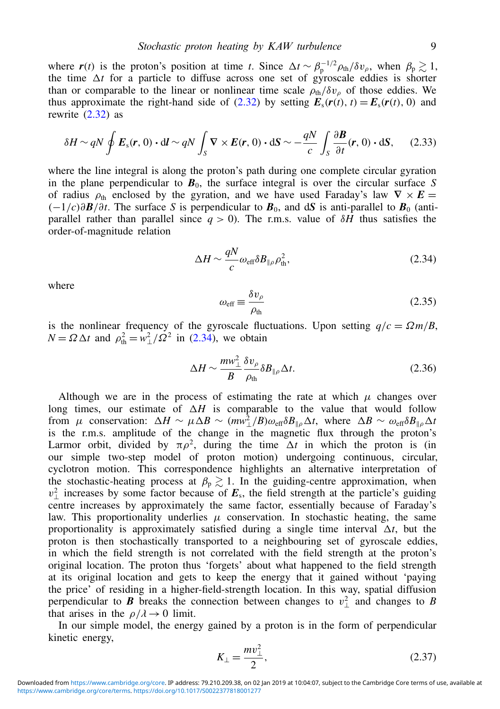where  $r(t)$  is the proton's position at time *t*. Since  $\Delta t \sim \beta_p^{-1/2} \rho_{th}/\delta v_\rho$ , when  $\beta_p \gtrsim 1$ , the time  $\Delta t$  for a particle to diffuse across one set of gyroscale eddies is shorter than or comparable to the linear or nonlinear time scale  $\rho_{th}/\delta v_{\rho}$  of those eddies. We thus approximate the right-hand side of [\(2.32\)](#page-7-2) by setting  $E_s(r(t), t) = E_s(r(t), 0)$  and rewrite [\(2.32\)](#page-7-2) as

$$
\delta H \sim qN \oint E_s(\mathbf{r}, 0) \cdot d\mathbf{l} \sim qN \int_S \nabla \times E(\mathbf{r}, 0) \cdot d\mathbf{S} \sim -\frac{qN}{c} \int_S \frac{\partial \mathbf{B}}{\partial t}(\mathbf{r}, 0) \cdot d\mathbf{S}, \tag{2.33}
$$

where the line integral is along the proton's path during one complete circular gyration in the plane perpendicular to  $B_0$ , the surface integral is over the circular surface *S* of radius  $\rho_{\text{th}}$  enclosed by the gyration, and we have used Faraday's law  $\nabla \times E$  $(-1/c)\partial \mathbf{B}/\partial t$ . The surface *S* is perpendicular to  $\mathbf{B}_0$ , and d*S* is anti-parallel to  $\mathbf{B}_0$  (antiparallel rather than parallel since  $q > 0$ ). The r.m.s. value of  $\delta H$  thus satisfies the order-of-magnitude relation

<span id="page-8-0"></span>
$$
\Delta H \sim \frac{qN}{c} \omega_{\rm eff} \delta B_{\parallel \rho} \rho_{\rm th}^2,\tag{2.34}
$$

where

<span id="page-8-1"></span>
$$
\omega_{\text{eff}} \equiv \frac{\delta v_{\rho}}{\rho_{\text{th}}} \tag{2.35}
$$

is the nonlinear frequency of the gyroscale fluctuations. Upon setting  $q/c = \Omega m/B$ ,  $N = \Omega \Delta t$  and  $\rho_{\text{th}}^2 = w_\perp^2 / \Omega^2$  in [\(2.34\)](#page-8-0), we obtain

$$
\Delta H \sim \frac{m\omega_{\perp}^2}{B} \frac{\delta v_{\rho}}{\rho_{\text{th}}} \delta B_{\|\rho} \Delta t. \tag{2.36}
$$

Although we are in the process of estimating the rate at which  $\mu$  changes over long times, our estimate of  $\Delta H$  is comparable to the value that would follow from  $\mu$  conservation:  $\Delta H \sim \mu \Delta B \sim (mv_{\perp}^2/B)\omega_{\text{eff}}\delta B_{\parallel \rho}\Delta t$ , where  $\Delta B \sim \omega_{\text{eff}}\delta B_{\parallel \rho}\Delta t$ is the r.m.s. amplitude of the change in the magnetic flux through the proton's Larmor orbit, divided by  $\pi \rho^2$ , during the time  $\Delta t$  in which the proton is (in our simple two-step model of proton motion) undergoing continuous, circular, cyclotron motion. This correspondence highlights an alternative interpretation of the stochastic-heating process at  $\beta_p \gtrsim 1$ . In the guiding-centre approximation, when  $v_{\perp}^2$  increases by some factor because of  $E_s$ , the field strength at the particle's guiding centre increases by approximately the same factor, essentially because of Faraday's law. This proportionality underlies  $\mu$  conservation. In stochastic heating, the same proportionality is approximately satisfied during a single time interval  $\Delta t$ , but the proton is then stochastically transported to a neighbouring set of gyroscale eddies, in which the field strength is not correlated with the field strength at the proton's original location. The proton thus 'forgets' about what happened to the field strength at its original location and gets to keep the energy that it gained without 'paying the price' of residing in a higher-field-strength location. In this way, spatial diffusion perpendicular to *B* breaks the connection between changes to  $v_{\perp}^2$  and changes to *B* that arises in the  $\rho/\lambda \rightarrow 0$  limit.

In our simple model, the energy gained by a proton is in the form of perpendicular kinetic energy,

$$
K_{\perp} = \frac{mv_{\perp}^2}{2},\tag{2.37}
$$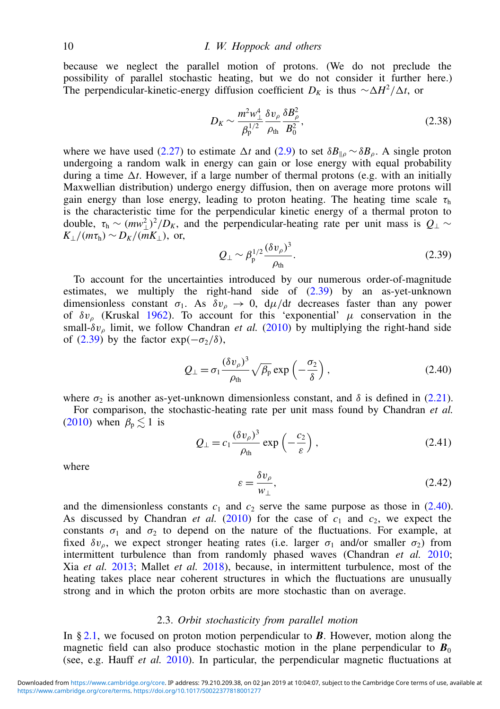because we neglect the parallel motion of protons. (We do not preclude the possibility of parallel stochastic heating, but we do not consider it further here.) The perpendicular-kinetic-energy diffusion coefficient  $D_K$  is thus  $\sim \Delta H^2/\Delta t$ , or

$$
D_K \sim \frac{m^2 w_\perp^4}{\beta_{\rm p}^{1/2}} \frac{\delta v_\rho}{\rho_{\rm th}} \frac{\delta B_\rho^2}{B_0^2},\tag{2.38}
$$

where we have used [\(2.27\)](#page-6-1) to estimate  $\Delta t$  and [\(2.9\)](#page-3-0) to set  $\delta B_{\parallel \rho} \sim \delta B_{\rho}$ . A single proton undergoing a random walk in energy can gain or lose energy with equal probability during a time  $\Delta t$ . However, if a large number of thermal protons (e.g. with an initially Maxwellian distribution) undergo energy diffusion, then on average more protons will gain energy than lose energy, leading to proton heating. The heating time scale  $\tau<sub>h</sub>$ is the characteristic time for the perpendicular kinetic energy of a thermal proton to double,  $\tau_h \sim (mv_\perp^2)^2/D_K$ , and the perpendicular-heating rate per unit mass is  $Q_\perp \sim$  $K_1/(m\tau_h) \sim D_K/(mK_1)$ , or,

<span id="page-9-1"></span>
$$
Q_{\perp} \sim \beta_{\rm p}^{1/2} \frac{(\delta v_{\rho})^3}{\rho_{\rm th}}.\tag{2.39}
$$

To account for the uncertainties introduced by our numerous order-of-magnitude estimates, we multiply the right-hand side of [\(2.39\)](#page-9-1) by an as-yet-unknown dimensionless constant  $\sigma_1$ . As  $\delta v_\rho \to 0$ ,  $d\mu/dt$  decreases faster than any power of  $\delta v_{\rho}$  (Kruskal [1962\)](#page-19-16). To account for this 'exponential'  $\mu$  conservation in the small- $\delta v_{\rho}$  limit, we follow Chandran *et al.* [\(2010\)](#page-18-11) by multiplying the right-hand side of [\(2.39\)](#page-9-1) by the factor  $\exp(-\sigma_2/\delta)$ ,

<span id="page-9-2"></span>
$$
Q_{\perp} = \sigma_1 \frac{(\delta v_{\rho})^3}{\rho_{\text{th}}} \sqrt{\beta_p} \exp\left(-\frac{\sigma_2}{\delta}\right), \qquad (2.40)
$$

where  $\sigma_2$  is another as-yet-unknown dimensionless constant, and  $\delta$  is defined in [\(2.21\)](#page-5-0).

For comparison, the stochastic-heating rate per unit mass found by Chandran *et al.* [\(2010\)](#page-18-11) when  $\beta_p \leq 1$  is

<span id="page-9-3"></span>
$$
Q_{\perp} = c_1 \frac{(\delta v_{\rho})^3}{\rho_{\text{th}}} \exp\left(-\frac{c_2}{\varepsilon}\right), \tag{2.41}
$$

where

$$
\varepsilon = \frac{\delta v_{\rho}}{w_{\perp}},\tag{2.42}
$$

and the dimensionless constants  $c_1$  and  $c_2$  serve the same purpose as those in [\(2.40\)](#page-9-2). As discussed by Chandran *et al.* [\(2010\)](#page-18-11) for the case of  $c_1$  and  $c_2$ , we expect the constants  $\sigma_1$  and  $\sigma_2$  to depend on the nature of the fluctuations. For example, at fixed  $\delta v_{\rho}$ , we expect stronger heating rates (i.e. larger  $\sigma_1$  and/or smaller  $\sigma_2$ ) from intermittent turbulence than from randomly phased waves (Chandran *et al.* [2010;](#page-18-11) Xia *et al.* [2013;](#page-20-12) Mallet *et al.* [2018\)](#page-19-19), because, in intermittent turbulence, most of the heating takes place near coherent structures in which the fluctuations are unusually strong and in which the proton orbits are more stochastic than on average.

## <span id="page-9-0"></span>2.3. *Orbit stochasticity from parallel motion*

In § [2.1,](#page-3-5) we focused on proton motion perpendicular to *B*. However, motion along the magnetic field can also produce stochastic motion in the plane perpendicular to  $\mathbf{B}_0$ (see, e.g. Hauff *et al.* [2010\)](#page-19-20). In particular, the perpendicular magnetic fluctuations at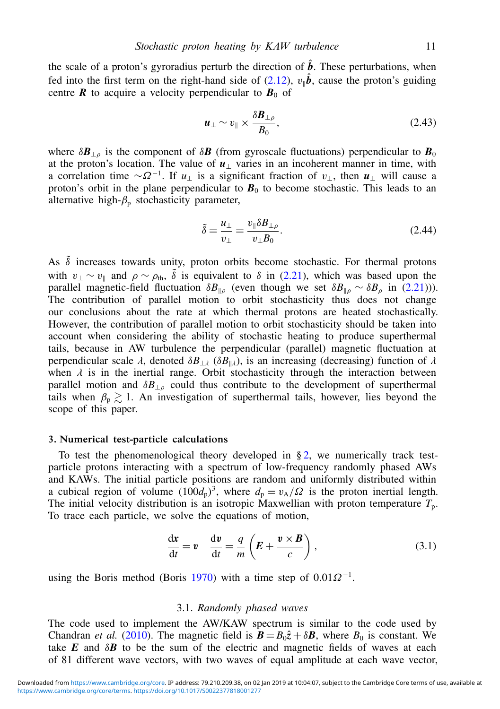the scale of a proton's gyroradius perturb the direction of  $\hat{b}$ . These perturbations, when fed into the first term on the right-hand side of  $(2.12)$ ,  $v_{\parallel} \hat{b}$ , cause the proton's guiding centre  $\boldsymbol{R}$  to acquire a velocity perpendicular to  $\boldsymbol{B}_0$  of

$$
\boldsymbol{u}_{\perp} \sim v_{\parallel} \times \frac{\delta \boldsymbol{B}_{\perp \rho}}{B_0},\tag{2.43}
$$

where  $\delta \mathbf{B}_{\perp \rho}$  is the component of  $\delta \mathbf{B}$  (from gyroscale fluctuations) perpendicular to  $\mathbf{B}_0$ at the proton's location. The value of  $u_1$  varies in an incoherent manner in time, with a correlation time  $\sim \Omega^{-1}$ . If  $u_{\perp}$  is a significant fraction of  $v_{\perp}$ , then  $u_{\perp}$  will cause a proton's orbit in the plane perpendicular to  $B_0$  to become stochastic. This leads to an alternative high- $\beta_p$  stochasticity parameter,

$$
\tilde{\delta} = \frac{u_{\perp}}{v_{\perp}} = \frac{v_{\parallel} \delta B_{\perp \rho}}{v_{\perp} B_0}.
$$
\n(2.44)

As  $\tilde{\delta}$  increases towards unity, proton orbits become stochastic. For thermal protons with  $v_\perp \sim v_\parallel$  and  $\rho \sim \rho_{\text{th}}$ ,  $\tilde{\delta}$  is equivalent to  $\delta$  in [\(2.21\)](#page-5-0), which was based upon the parallel magnetic-field fluctuation  $\delta B_{\parallel \rho}$  (even though we set  $\delta B_{\parallel \rho} \sim \delta B_{\rho}$  in [\(2.21\)](#page-5-0))). The contribution of parallel motion to orbit stochasticity thus does not change our conclusions about the rate at which thermal protons are heated stochastically. However, the contribution of parallel motion to orbit stochasticity should be taken into account when considering the ability of stochastic heating to produce superthermal tails, because in AW turbulence the perpendicular (parallel) magnetic fluctuation at perpendicular scale  $\lambda$ , denoted  $\delta B_{\perp\lambda}$  ( $\delta B_{\parallel\lambda}$ ), is an increasing (decreasing) function of  $\lambda$ when  $\lambda$  is in the inertial range. Orbit stochasticity through the interaction between parallel motion and  $\delta B_{\perp\rho}$  could thus contribute to the development of superthermal tails when  $\beta_p \gtrsim 1$ . An investigation of superthermal tails, however, lies beyond the scope of this paper.

#### <span id="page-10-0"></span>3. Numerical test-particle calculations

To test the phenomenological theory developed in  $\S 2$ , we numerically track testparticle protons interacting with a spectrum of low-frequency randomly phased AWs and KAWs. The initial particle positions are random and uniformly distributed within a cubical region of volume  $(100d_p)^3$ , where  $d_p = v_A/\Omega$  is the proton inertial length. The initial velocity distribution is an isotropic Maxwellian with proton temperature  $T_p$ . To trace each particle, we solve the equations of motion,

$$
\frac{dx}{dt} = v \quad \frac{dv}{dt} = \frac{q}{m} \left( E + \frac{v \times B}{c} \right), \tag{3.1}
$$

using the Boris method (Boris [1970\)](#page-18-16) with a time step of  $0.01\Omega^{-1}$ .

## <span id="page-10-1"></span>3.1. *Randomly phased waves*

The code used to implement the AW/KAW spectrum is similar to the code used by Chandran *et al.* [\(2010\)](#page-18-11). The magnetic field is  $\mathbf{B} = B_0 \hat{z} + \delta \mathbf{B}$ , where  $B_0$  is constant. We take  $E$  and  $\delta B$  to be the sum of the electric and magnetic fields of waves at each of 81 different wave vectors, with two waves of equal amplitude at each wave vector,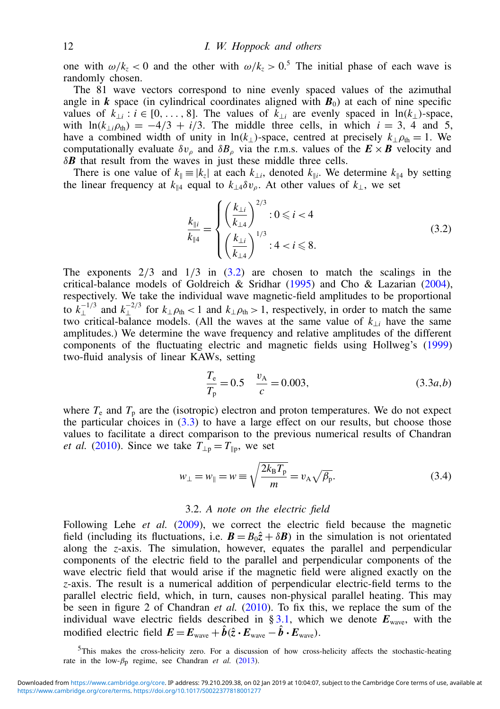one with  $\omega/k_z < 0$  and the other with  $\omega/k_z > 0.5$  The initial phase of each wave is randomly chosen.

The 81 wave vectors correspond to nine evenly spaced values of the azimuthal angle in *k* space (in cylindrical coordinates aligned with  $B_0$ ) at each of nine specific values of  $k_{\perp i}$  :  $i \in [0, \ldots, 8]$ . The values of  $k_{\perp i}$  are evenly spaced in ln( $k_{\perp}$ )-space, with  $ln(k_{\perp i}\rho_{th}) = -4/3 + i/3$ . The middle three cells, in which  $i = 3, 4$  and 5, have a combined width of unity in ln( $k_{\perp}$ )-space, centred at precisely  $k_{\perp} \rho_{th} = 1$ . We computationally evaluate  $\delta v_{\rho}$  and  $\delta B_{\rho}$  via the r.m.s. values of the  $\mathbf{E} \times \mathbf{B}$  velocity and δ*B* that result from the waves in just these middle three cells.

There is one value of  $k_{\parallel} \equiv |k_z|$  at each  $k_{\perp i}$ , denoted  $k_{\parallel i}$ . We determine  $k_{\parallel 4}$  by setting the linear frequency at  $k_{\parallel 4}$  equal to  $k_{\perp 4} \delta v_{\rho}$ . At other values of  $k_{\perp}$ , we set

<span id="page-11-0"></span>
$$
\frac{k_{\parallel i}}{k_{\parallel 4}} = \begin{cases}\n\left(\frac{k_{\perp i}}{k_{\perp 4}}\right)^{2/3} : 0 \le i < 4\\ \n\left(\frac{k_{\perp i}}{k_{\perp 4}}\right)^{1/3} : 4 < i \le 8.\n\end{cases}
$$
\n(3.2)

The exponents  $2/3$  and  $1/3$  in  $(3.2)$  are chosen to match the scalings in the critical-balance models of Goldreich & Sridhar  $(1995)$  and Cho & Lazarian  $(2004)$ , respectively. We take the individual wave magnetic-field amplitudes to be proportional to  $k_{\perp}^{-1/3}$  and  $k_{\perp}^{-2/3}$  for  $k_{\perp} \rho_{\text{th}}$  < 1 and  $k_{\perp} \rho_{\text{th}} > 1$ , respectively, in order to match the same two critical-balance models. (All the waves at the same value of  $k_{\perp i}$  have the same amplitudes.) We determine the wave frequency and relative amplitudes of the different components of the fluctuating electric and magnetic fields using Hollweg's [\(1999\)](#page-19-18) two-fluid analysis of linear KAWs, setting

<span id="page-11-1"></span>
$$
\frac{T_e}{T_p} = 0.5 \quad \frac{v_A}{c} = 0.003,\tag{3.3a,b}
$$

where  $T_e$  and  $T_p$  are the (isotropic) electron and proton temperatures. We do not expect the particular choices in  $(3.3)$  to have a large effect on our results, but choose those values to facilitate a direct comparison to the previous numerical results of Chandran *et al.* [\(2010\)](#page-18-11). Since we take  $T_{\perp p} = T_{\parallel p}$ , we set

<span id="page-11-2"></span>
$$
w_{\perp} = w_{\parallel} = w \equiv \sqrt{\frac{2k_{\rm B}T_{\rm p}}{m}} = v_{\rm A}\sqrt{\beta_{\rm p}}.
$$
\n(3.4)

## 3.2. *A note on the electric field*

Following Lehe *et al.* [\(2009\)](#page-19-7), we correct the electric field because the magnetic field (including its fluctuations, i.e.  $\mathbf{B} = B_0\hat{z} + \delta \mathbf{B}$ ) in the simulation is not orientated along the *z*-axis. The simulation, however, equates the parallel and perpendicular components of the electric field to the parallel and perpendicular components of the wave electric field that would arise if the magnetic field were aligned exactly on the *z*-axis. The result is a numerical addition of perpendicular electric-field terms to the parallel electric field, which, in turn, causes non-physical parallel heating. This may be seen in figure 2 of Chandran *et al.* [\(2010\)](#page-18-11). To fix this, we replace the sum of the individual wave electric fields described in  $\S 3.1$ , which we denote  $E_{\text{wave}}$ , with the modified electric field  $\mathbf{E} = \mathbf{E}_{\text{wave}} + \hat{\boldsymbol{b}}(\hat{z} \cdot \mathbf{E}_{\text{wave}} - \hat{\boldsymbol{b}} \cdot \mathbf{E}_{\text{wave}})$ .

<sup>5</sup>This makes the cross-helicity zero. For a discussion of how cross-helicity affects the stochastic-heating rate in the low- $\beta_p$  regime, see Chandran *et al.* [\(2013\)](#page-18-18).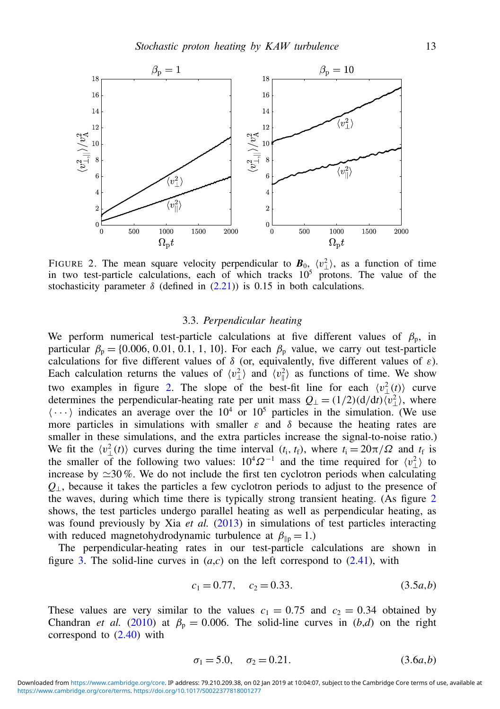<span id="page-12-0"></span>

FIGURE 2. The mean square velocity perpendicular to  $\mathbf{B}_{0}$ ,  $\langle v_{\perp}^2 \rangle$ , as a function of time in two test-particle calculations, each of which tracks  $10<sup>5</sup>$  protons. The value of the stochasticity parameter  $\delta$  (defined in [\(2.21\)](#page-5-0)) is 0.15 in both calculations.

#### 3.3. *Perpendicular heating*

We perform numerical test-particle calculations at five different values of  $\beta_p$ , in particular  $\beta_p = \{0.006, 0.01, 0.1, 1, 10\}$ . For each  $\beta_p$  value, we carry out test-particle calculations for five different values of  $\delta$  (or, equivalently, five different values of  $\varepsilon$ ). Each calculation returns the values of  $\langle v_{\perp}^2 \rangle$  and  $\langle v_{\parallel}^2 \rangle$  as functions of time. We show two examples in figure [2.](#page-12-0) The slope of the best-fit line for each  $\langle v_\perp^2(t) \rangle$  curve determines the perpendicular-heating rate per unit mass  $Q_{\perp} = (1/2)(d/dt)\langle v_{\perp}^2 \rangle$ , where  $\langle \cdots \rangle$  indicates an average over the 10<sup>4</sup> or 10<sup>5</sup> particles in the simulation. (We use more particles in simulations with smaller  $\varepsilon$  and  $\delta$  because the heating rates are smaller in these simulations, and the extra particles increase the signal-to-noise ratio.) We fit the  $\langle v_{\perp}^2(t) \rangle$  curves during the time interval  $(t_i, t_f)$ , where  $t_i = 20\pi/\Omega$  and  $t_f$  is the smaller of the following two values:  $10^4 \Omega^{-1}$  and the time required for  $\langle v_\perp^2 \rangle$  to increase by  $\approx$ 30%. We do not include the first ten cyclotron periods when calculating *Q*⊥, because it takes the particles a few cyclotron periods to adjust to the presence of the waves, during which time there is typically strong transient heating. (As figure [2](#page-12-0) shows, the test particles undergo parallel heating as well as perpendicular heating, as was found previously by Xia *et al.* [\(2013\)](#page-20-12) in simulations of test particles interacting with reduced magnetohydrodynamic turbulence at  $\beta_{\text{lin}} = 1$ .)

The perpendicular-heating rates in our test-particle calculations are shown in figure [3.](#page-13-0) The solid-line curves in  $(a, c)$  on the left correspond to  $(2.41)$ , with

<span id="page-12-1"></span>
$$
c_1 = 0.77, \quad c_2 = 0.33. \tag{3.5a,b}
$$

These values are very similar to the values  $c_1 = 0.75$  and  $c_2 = 0.34$  obtained by Chandran *et al.* [\(2010\)](#page-18-11) at  $\beta_p = 0.006$ . The solid-line curves in (*b,d*) on the right correspond to  $(2.40)$  with

<span id="page-12-2"></span>
$$
\sigma_1 = 5.0, \quad \sigma_2 = 0.21. \tag{3.6a,b}
$$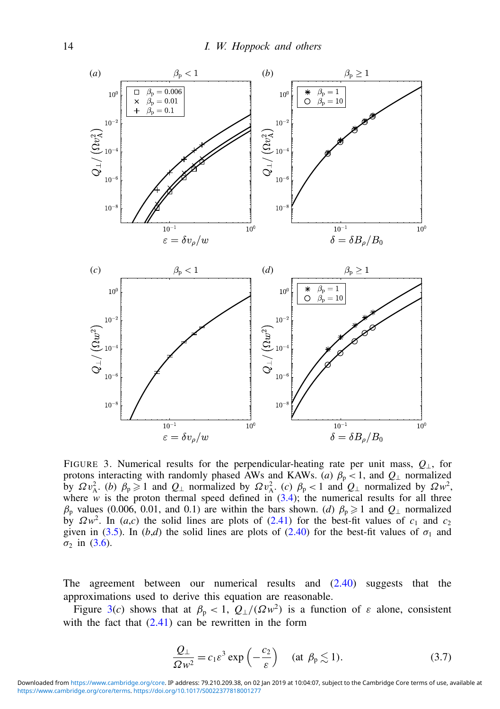<span id="page-13-0"></span>

FIGURE 3. Numerical results for the perpendicular-heating rate per unit mass, *Q*⊥, for protons interacting with randomly phased AWs and KAWs. (*a*)  $\beta_p < 1$ , and  $Q_{\perp}$  normalized by  $\Omega v_A^2$ . (*b*)  $\beta_p \ge 1$  and  $Q_{\perp}$  normalized by  $\Omega v_A^2$ . (*c*)  $\beta_p < 1$  and  $Q_{\perp}$  normalized by  $\Omega w^2$ , where *w* is the proton thermal speed defined in  $(3.4)$ ; the numerical results for all three  $β_p$  values (0.006, 0.01, and 0.1) are within the bars shown. (*d*)  $β_p \ge 1$  and  $Q_1$  normalized by  $\Omega w^2$ . In (*a*,*c*) the solid lines are plots of [\(2.41\)](#page-9-3) for the best-fit values of *c*<sub>1</sub> and *c*<sub>2</sub> given in [\(3.5\)](#page-12-1). In (*b*,*d*) the solid lines are plots of [\(2.40\)](#page-9-2) for the best-fit values of  $\sigma_1$  and  $\sigma_2$  in [\(3.6\)](#page-12-2).

The agreement between our numerical results and [\(2.40\)](#page-9-2) suggests that the approximations used to derive this equation are reasonable.

Figure [3\(](#page-13-0)*c*) shows that at  $\beta_p < 1$ ,  $Q_{\perp}/(\Omega w^2)$  is a function of  $\varepsilon$  alone, consistent with the fact that  $(2.41)$  can be rewritten in the form

<span id="page-13-1"></span>
$$
\frac{Q_{\perp}}{Qw^2} = c_1 \varepsilon^3 \exp\left(-\frac{c_2}{\varepsilon}\right) \quad (\text{at } \beta_{\text{p}} \lesssim 1). \tag{3.7}
$$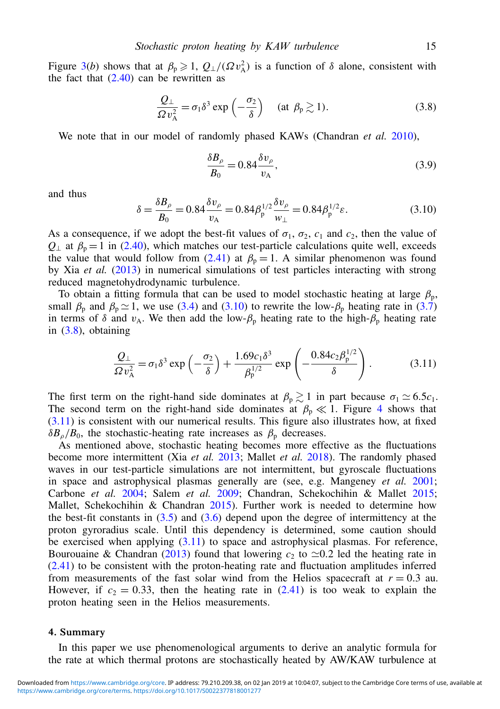Figure [3\(](#page-13-0)*b*) shows that at  $\beta_p \geq 1$ ,  $Q_{\perp}/(Qv_A^2)$  is a function of  $\delta$  alone, consistent with the fact that  $(2.40)$  can be rewritten as

<span id="page-14-1"></span>
$$
\frac{Q_{\perp}}{\Omega v_{\rm A}^2} = \sigma_1 \delta^3 \exp\left(-\frac{\sigma_2}{\delta}\right) \quad (\text{at } \beta_{\rm p} \gtrsim 1). \tag{3.8}
$$

We note that in our model of randomly phased KAWs (Chandran *et al.* [2010\)](#page-18-11),

$$
\frac{\delta B_{\rho}}{B_0} = 0.84 \frac{\delta v_{\rho}}{v_{\rm A}},\tag{3.9}
$$

and thus

<span id="page-14-0"></span>
$$
\delta = \frac{\delta B_{\rho}}{B_0} = 0.84 \frac{\delta v_{\rho}}{v_{\rm A}} = 0.84 \beta_{\rm p}^{1/2} \frac{\delta v_{\rho}}{w_{\perp}} = 0.84 \beta_{\rm p}^{1/2} \varepsilon. \tag{3.10}
$$

As a consequence, if we adopt the best-fit values of  $\sigma_1$ ,  $\sigma_2$ ,  $c_1$  and  $c_2$ , then the value of  $Q_{\perp}$  at  $\beta_p = 1$  in [\(2.40\)](#page-9-2), which matches our test-particle calculations quite well, exceeds the value that would follow from [\(2.41\)](#page-9-3) at  $\beta_p = 1$ . A similar phenomenon was found by Xia *et al.* [\(2013\)](#page-20-12) in numerical simulations of test particles interacting with strong reduced magnetohydrodynamic turbulence.

To obtain a fitting formula that can be used to model stochastic heating at large  $\beta_p$ , small  $\beta_p$  and  $\beta_p \simeq 1$ , we use [\(3.4\)](#page-11-2) and [\(3.10\)](#page-14-0) to rewrite the low- $\beta_p$  heating rate in [\(3.7\)](#page-13-1) in terms of  $\delta$  and  $v_A$ . We then add the low- $\beta_p$  heating rate to the high- $\beta_p$  heating rate in [\(3.8\)](#page-14-1), obtaining

<span id="page-14-2"></span>
$$
\frac{Q_{\perp}}{\Omega v_{\rm A}^2} = \sigma_1 \delta^3 \exp\left(-\frac{\sigma_2}{\delta}\right) + \frac{1.69 c_1 \delta^3}{\beta_{\rm p}^{1/2}} \exp\left(-\frac{0.84 c_2 \beta_{\rm p}^{1/2}}{\delta}\right). \tag{3.11}
$$

The first term on the right-hand side dominates at  $\beta_p \gtrsim 1$  in part because  $\sigma_1 \simeq 6.5c_1$ . The second term on the right-hand side dominates at  $\beta_p \ll 1$ . Figure [4](#page-15-0) shows that  $(3.11)$  is consistent with our numerical results. This figure also illustrates how, at fixed  $\delta B_{\rho}/B_0$ , the stochastic-heating rate increases as  $\beta_{\rm p}$  decreases.

As mentioned above, stochastic heating becomes more effective as the fluctuations become more intermittent (Xia *et al.* [2013;](#page-20-12) Mallet *et al.* [2018\)](#page-19-19). The randomly phased waves in our test-particle simulations are not intermittent, but gyroscale fluctuations in space and astrophysical plasmas generally are (see, e.g. Mangeney *et al.* [2001;](#page-20-18) Carbone *et al.* [2004;](#page-18-19) Salem *et al.* [2009;](#page-20-19) Chandran, Schekochihin & Mallet [2015;](#page-18-20) Mallet, Schekochihin & Chandran  $2015$ ). Further work is needed to determine how the best-fit constants in  $(3.5)$  and  $(3.6)$  depend upon the degree of intermittency at the proton gyroradius scale. Until this dependency is determined, some caution should be exercised when applying [\(3.11\)](#page-14-2) to space and astrophysical plasmas. For reference, Bourouaine & Chandran [\(2013\)](#page-18-21) found that lowering  $c_2$  to  $\approx 0.2$  led the heating rate in [\(2.41\)](#page-9-3) to be consistent with the proton-heating rate and fluctuation amplitudes inferred from measurements of the fast solar wind from the Helios spacecraft at  $r = 0.3$  au. However, if  $c_2 = 0.33$ , then the heating rate in  $(2.41)$  is too weak to explain the proton heating seen in the Helios measurements.

#### 4. Summary

In this paper we use phenomenological arguments to derive an analytic formula for the rate at which thermal protons are stochastically heated by AW/KAW turbulence at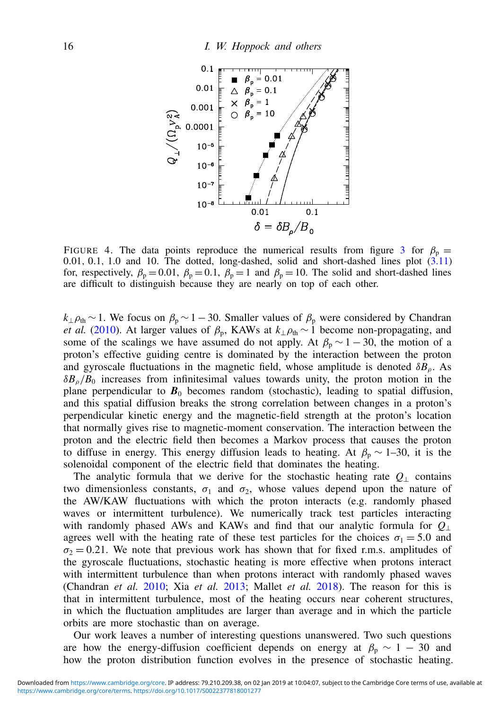<span id="page-15-0"></span>

FIGURE 4. The data points reproduce the numerical results from figure [3](#page-13-0) for  $\beta_p =$ 0.01, 0.1, 1.0 and 10. The dotted, long-dashed, solid and short-dashed lines plot [\(3.11\)](#page-14-2) for, respectively,  $\beta_p = 0.01$ ,  $\beta_p = 0.1$ ,  $\beta_p = 1$  and  $\beta_p = 10$ . The solid and short-dashed lines are difficult to distinguish because they are nearly on top of each other.

 $k_{\perp}$  $\rho_{\text{th}}$  ∼1. We focus on  $\beta_p$  ~ 1 – 30. Smaller values of  $\beta_p$  were considered by Chandran *et al.* [\(2010\)](#page-18-11). At larger values of  $\beta_p$ , KAWs at  $k_{\perp} \rho_{th} \sim 1$  become non-propagating, and some of the scalings we have assumed do not apply. At  $\beta_p \sim 1 - 30$ , the motion of a proton's effective guiding centre is dominated by the interaction between the proton and gyroscale fluctuations in the magnetic field, whose amplitude is denoted  $\delta B_{\rho}$ . As  $\delta B_{\rho}/B_0$  increases from infinitesimal values towards unity, the proton motion in the plane perpendicular to  $\mathbf{B}_0$  becomes random (stochastic), leading to spatial diffusion, and this spatial diffusion breaks the strong correlation between changes in a proton's perpendicular kinetic energy and the magnetic-field strength at the proton's location that normally gives rise to magnetic-moment conservation. The interaction between the proton and the electric field then becomes a Markov process that causes the proton to diffuse in energy. This energy diffusion leads to heating. At  $\beta_p \sim 1-30$ , it is the solenoidal component of the electric field that dominates the heating.

The analytic formula that we derive for the stochastic heating rate  $Q_{\perp}$  contains two dimensionless constants,  $\sigma_1$  and  $\sigma_2$ , whose values depend upon the nature of the AW/KAW fluctuations with which the proton interacts (e.g. randomly phased waves or intermittent turbulence). We numerically track test particles interacting with randomly phased AWs and KAWs and find that our analytic formula for *Q*<sup>⊥</sup> agrees well with the heating rate of these test particles for the choices  $\sigma_1 = 5.0$  and  $\sigma_2$  = 0.21. We note that previous work has shown that for fixed r.m.s. amplitudes of the gyroscale fluctuations, stochastic heating is more effective when protons interact with intermittent turbulence than when protons interact with randomly phased waves (Chandran *et al.* [2010;](#page-18-11) Xia *et al.* [2013;](#page-20-12) Mallet *et al.* [2018\)](#page-19-19). The reason for this is that in intermittent turbulence, most of the heating occurs near coherent structures, in which the fluctuation amplitudes are larger than average and in which the particle orbits are more stochastic than on average.

Our work leaves a number of interesting questions unanswered. Two such questions are how the energy-diffusion coefficient depends on energy at  $\beta_p \sim 1 - 30$  and how the proton distribution function evolves in the presence of stochastic heating.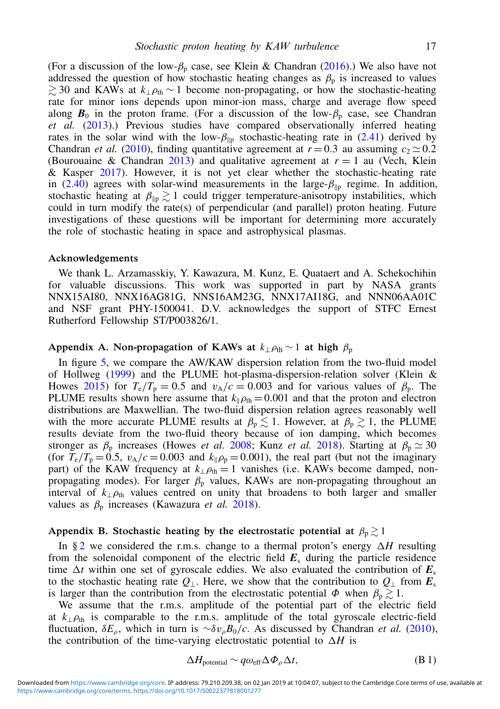(For a discussion of the low- $\beta_p$  case, see Klein & Chandran [\(2016\)](#page-19-21).) We also have not addressed the question of how stochastic heating changes as  $\beta_p$  is increased to values  $\gtrsim$  30 and KAWs at  $k_{\perp}$  $\rho_{\text{th}}$  ∼ 1 become non-propagating, or how the stochastic-heating rate for minor ions depends upon minor-ion mass, charge and average flow speed along  $\mathbf{B}_0$  in the proton frame. (For a discussion of the low- $\beta_p$  case, see Chandran *et al.* [\(2013\)](#page-18-18).) Previous studies have compared observationally inferred heating rates in the solar wind with the low- $\beta_{\parallel p}$  stochastic-heating rate in [\(2.41\)](#page-9-3) derived by Chandran *et al.* [\(2010\)](#page-18-11), finding quantitative agreement at  $r = 0.3$  au assuming  $c_2 \approx 0.2$ (Bourouaine & Chandran [2013\)](#page-18-21) and qualitative agreement at  $r = 1$  au (Vech, Klein & Kasper [2017\)](#page-20-21). However, it is not yet clear whether the stochastic-heating rate in [\(2.40\)](#page-9-2) agrees with solar-wind measurements in the large- $\beta_{\text{lin}}$  regime. In addition, stochastic heating at  $\beta_{\parallel p} \gtrsim 1$  could trigger temperature-anisotropy instabilities, which could in turn modify the rate(s) of perpendicular (and parallel) proton heating. Future investigations of these questions will be important for determining more accurately the role of stochastic heating in space and astrophysical plasmas.

#### Acknowledgements

We thank L. Arzamasskiy, Y. Kawazura, M. Kunz, E. Quataert and A. Schekochihin for valuable discussions. This work was supported in part by NASA grants NNX15AI80, NNX16AG81G, NNS16AM23G, NNX17AI18G, and NNN06AA01C and NSF grant PHY-1500041. D.V. acknowledges the support of STFC Ernest Rutherford Fellowship ST/P003826/1.

# <span id="page-16-0"></span>Appendix A. Non-propagation of KAWs at  $k_{\perp} \rho_{th} \sim 1$  at high  $\beta_p$

In figure [5,](#page-17-0) we compare the AW/KAW dispersion relation from the two-fluid model of Hollweg [\(1999\)](#page-19-18) and the PLUME hot-plasma-dispersion-relation solver (Klein & Howes [2015\)](#page-19-22) for  $T_e/T_p = 0.5$  and  $v_A/c = 0.003$  and for various values of  $\beta_p$ . The PLUME results shown here assume that  $k_{\parallel} \rho_{\text{th}} = 0.001$  and that the proton and electron distributions are Maxwellian. The two-fluid dispersion relation agrees reasonably well with the more accurate PLUME results at  $\beta_p \lesssim 1$ . However, at  $\beta_p \gtrsim 1$ , the PLUME results deviate from the two-fluid theory because of ion damping, which becomes stronger as  $\beta_p$  increases (Howes *et al.* [2008;](#page-19-4) Kunz *et al.* [2018\)](#page-19-15). Starting at  $\beta_p \simeq 30$ (for  $T_e/T_p = 0.5$ ,  $v_A/c = 0.003$  and  $k_{\parallel} \rho_p = 0.001$ ), the real part (but not the imaginary part) of the KAW frequency at  $k_{\perp} \rho_{\text{th}} = 1$  vanishes (i.e. KAWs become damped, nonpropagating modes). For larger  $\beta_p$  values, KAWs are non-propagating throughout an interval of  $k_{\perp}$  $\rho_{th}$  values centred on unity that broadens to both larger and smaller values as  $\beta_p$  increases (Kawazura *et al.* [2018\)](#page-19-9).

#### <span id="page-16-1"></span>Appendix B. Stochastic heating by the electrostatic potential at  $\beta_p \gtrsim 1$

In  $\S 2$  $\S 2$  we considered the r.m.s. change to a thermal proton's energy  $\Delta H$  resulting from the solenoidal component of the electric field *E*<sup>s</sup> during the particle residence time  $\Delta t$  within one set of gyroscale eddies. We also evaluated the contribution of  $E_s$ to the stochastic heating rate  $Q_{\perp}$ . Here, we show that the contribution to  $Q_{\perp}$  from  $E_{s}$ is larger than the contribution from the electrostatic potential  $\Phi$  when  $\beta_0 \gtrsim 1$ .

We assume that the r.m.s. amplitude of the potential part of the electric field at  $k_\perp \rho_{\text{th}}$  is comparable to the r.m.s. amplitude of the total gyroscale electric-field fluctuation,  $\delta E_{\rho}$ , which in turn is ∼ $\delta v_{\rho}B_0/c$ . As discussed by Chandran *et al.* [\(2010\)](#page-18-11), the contribution of the time-varying electrostatic potential to  $\Delta H$  is

<span id="page-16-2"></span>
$$
\Delta H_{\text{potential}} \sim q\omega_{\text{eff}}\Delta\Phi_{\rho}\Delta t,\tag{B1}
$$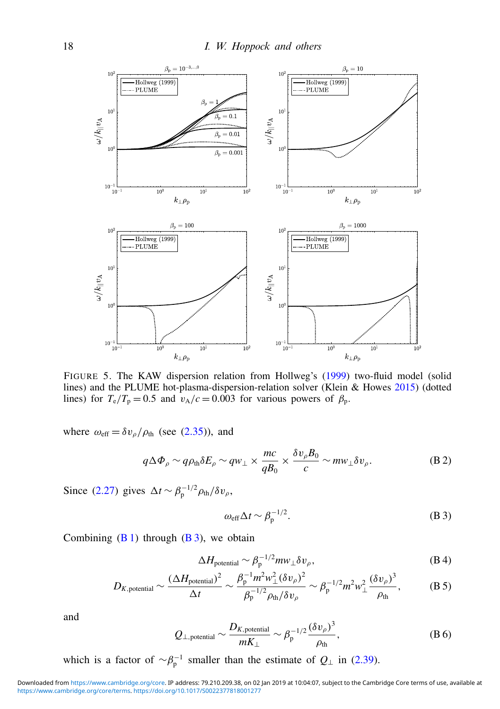<span id="page-17-0"></span>

FIGURE 5. The KAW dispersion relation from Hollweg's [\(1999\)](#page-19-18) two-fluid model (solid lines) and the PLUME hot-plasma-dispersion-relation solver (Klein & Howes [2015\)](#page-19-22) (dotted lines) for  $T_e/T_p = 0.5$  and  $v_A/c = 0.003$  for various powers of  $\beta_p$ .

where  $\omega_{\text{eff}} = \delta v_o / \rho_{\text{th}}$  (see [\(2.35\)](#page-8-1)), and

$$
q\Delta\Phi_{\rho}\sim q\rho_{\rm th}\delta E_{\rho}\sim qw_{\perp}\times \frac{mc}{qB_0}\times \frac{\delta v_{\rho}B_0}{c}\sim m w_{\perp}\delta v_{\rho}.
$$
 (B.2)

Since [\(2.27\)](#page-6-1) gives  $\Delta t \sim \beta_{\rm p}^{-1/2} \rho_{\rm th}/\delta v_{\rho}$ ,

<span id="page-17-1"></span>
$$
\omega_{\text{eff}}\Delta t \sim \beta_{\text{p}}^{-1/2}.\tag{B 3}
$$

Combining  $(B 1)$  through  $(B 3)$ , we obtain

$$
\Delta H_{\text{potential}} \sim \beta_{\text{p}}^{-1/2} m w_{\perp} \delta v_{\rho},\tag{B4}
$$

$$
D_{K,\text{potential}} \sim \frac{(\Delta H_{\text{potential}})^2}{\Delta t} \sim \frac{\beta_{\text{p}}^{-1} m^2 w_{\perp}^2 (\delta v_{\rho})^2}{\beta_{\text{p}}^{-1/2} \rho_{\text{th}} / \delta v_{\rho}} \sim \beta_{\text{p}}^{-1/2} m^2 w_{\perp}^2 \frac{(\delta v_{\rho})^3}{\rho_{\text{th}}},\tag{B.5}
$$

and

$$
Q_{\perp,\text{potential}} \sim \frac{D_{K,\text{potential}}}{mK_{\perp}} \sim \beta_{\text{p}}^{-1/2} \frac{(\delta v_{\rho})^3}{\rho_{\text{th}}},\tag{B 6}
$$

which is a factor of  $\sim \beta_p^{-1}$  smaller than the estimate of  $Q_{\perp}$  in [\(2.39\)](#page-9-1).

[https://www.cambridge.org/core/terms.](https://www.cambridge.org/core/terms) <https://doi.org/10.1017/S0022377818001277> Downloaded from [https://www.cambridge.org/core.](https://www.cambridge.org/core) IP address: 79.210.209.38, on 02 Jan 2019 at 10:04:07, subject to the Cambridge Core terms of use, available at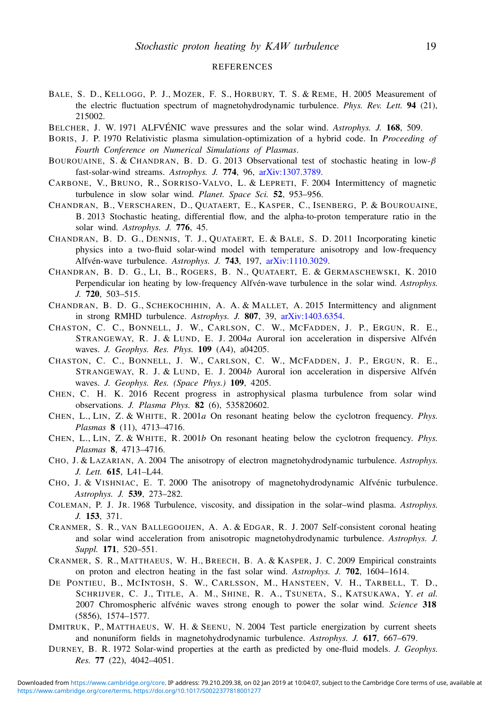#### **REFERENCES**

- <span id="page-18-3"></span>BALE, S. D., KELLOGG, P. J., MOZER, F. S., HORBURY, T. S. & REME, H. 2005 Measurement of the electric fluctuation spectrum of magnetohydrodynamic turbulence. *Phys. Rev. Lett.* 94 (21), 215002.
- <span id="page-18-2"></span>BELCHER, J. W. 1971 ALFVÉNIC wave pressures and the solar wind. *Astrophys. J.* 168, 509.
- <span id="page-18-16"></span>BORIS, J. P. 1970 Relativistic plasma simulation-optimization of a hybrid code. In *Proceeding of Fourth Conference on Numerical Simulations of Plasmas*.
- <span id="page-18-21"></span>BOUROUAINE, S. & CHANDRAN, B. D. G. 2013 Observational test of stochastic heating in low-β fast-solar-wind streams. *Astrophys. J.* 774, 96, [arXiv:1307.3789.](http://www.arxiv.org/abs/1307.3789)
- <span id="page-18-19"></span>CARBONE, V., BRUNO, R., SORRISO-VALVO, L. & LEPRETI, F. 2004 Intermittency of magnetic turbulence in slow solar wind. *Planet. Space Sci.* 52, 953–956.
- <span id="page-18-18"></span>CHANDRAN, B., VERSCHAREN, D., QUATAERT, E., KASPER, C., ISENBERG, P. & BOUROUAINE, B. 2013 Stochastic heating, differential flow, and the alpha-to-proton temperature ratio in the solar wind. *Astrophys. J.* 776, 45.
- <span id="page-18-6"></span>CHANDRAN, B. D. G., DENNIS, T. J., QUATAERT, E. & BALE, S. D. 2011 Incorporating kinetic physics into a two-fluid solar-wind model with temperature anisotropy and low-frequency Alfvén-wave turbulence. *Astrophys. J.* 743, 197, [arXiv:1110.3029.](http://www.arxiv.org/abs/1110.3029)
- <span id="page-18-11"></span>CHANDRAN, B. D. G., LI, B., ROGERS, B. N., QUATAERT, E. & GERMASCHEWSKI, K. 2010 Perpendicular ion heating by low-frequency Alfvén-wave turbulence in the solar wind. *Astrophys. J.* 720, 503–515.
- <span id="page-18-20"></span>CHANDRAN, B. D. G., SCHEKOCHIHIN, A. A. & MALLET, A. 2015 Intermittency and alignment in strong RMHD turbulence. *Astrophys. J.* 807, 39, [arXiv:1403.6354.](http://www.arxiv.org/abs/1403.6354)
- <span id="page-18-13"></span>CHASTON, C. C., BONNELL, J. W., CARLSON, C. W., MCFADDEN, J. P., ERGUN, R. E., STRANGEWAY, R. J. & LUND, E. J. 2004*a* Auroral ion acceleration in dispersive Alfvén waves. *J. Geophys. Res. Phys.* 109 (A4), a04205.
- <span id="page-18-15"></span>CHASTON, C. C., BONNELL, J. W., CARLSON, C. W., MCFADDEN, J. P., ERGUN, R. E., STRANGEWAY, R. J. & LUND, E. J. 2004*b* Auroral ion acceleration in dispersive Alfvén waves. *J. Geophys. Res. (Space Phys.)* 109, 4205.
- <span id="page-18-8"></span>CHEN, C. H. K. 2016 Recent progress in astrophysical plasma turbulence from solar wind observations. *J. Plasma Phys.* 82 (6), 535820602.
- <span id="page-18-12"></span>CHEN, L., LIN, Z. & WHITE, R. 2001*a* On resonant heating below the cyclotron frequency. *Phys. Plasmas* 8 (11), 4713–4716.
- <span id="page-18-14"></span>CHEN, L., LIN, Z. & WHITE, R. 2001*b* On resonant heating below the cyclotron frequency. *Phys. Plasmas* 8, 4713–4716.
- <span id="page-18-17"></span>CHO, J. & LAZARIAN, A. 2004 The anisotropy of electron magnetohydrodynamic turbulence. *Astrophys. J. Lett.* 615, L41–L44.
- <span id="page-18-7"></span>CHO, J. & VISHNIAC, E. T. 2000 The anisotropy of magnetohydrodynamic Alfvénic turbulence. *Astrophys. J.* 539, 273–282.
- <span id="page-18-1"></span>COLEMAN, P. J. JR. 1968 Turbulence, viscosity, and dissipation in the solar–wind plasma. *Astrophys. J.* 153, 371.
- <span id="page-18-5"></span>CRANMER, S. R., VAN BALLEGOOIJEN, A. A. & EDGAR, R. J. 2007 Self-consistent coronal heating and solar wind acceleration from anisotropic magnetohydrodynamic turbulence. *Astrophys. J. Suppl.* 171, 520–551.
- <span id="page-18-9"></span>CRANMER, S. R., MATTHAEUS, W. H., BREECH, B. A. & KASPER, J. C. 2009 Empirical constraints on proton and electron heating in the fast solar wind. *Astrophys. J.* 702, 1604–1614.
- <span id="page-18-4"></span>DE PONTIEU, B., MCINTOSH, S. W., CARLSSON, M., HANSTEEN, V. H., TARBELL, T. D., SCHRIJVER, C. J., TITLE, A. M., SHINE, R. A., TSUNETA, S., KATSUKAWA, Y. *et al.* 2007 Chromospheric alfvénic waves strong enough to power the solar wind. *Science* 318 (5856), 1574–1577.
- <span id="page-18-10"></span>DMITRUK, P., MATTHAEUS, W. H. & SEENU, N. 2004 Test particle energization by current sheets and nonuniform fields in magnetohydrodynamic turbulence. *Astrophys. J.* 617, 667–679.
- <span id="page-18-0"></span>DURNEY, B. R. 1972 Solar-wind properties at the earth as predicted by one-fluid models. *J. Geophys. Res.* 77 (22), 4042–4051.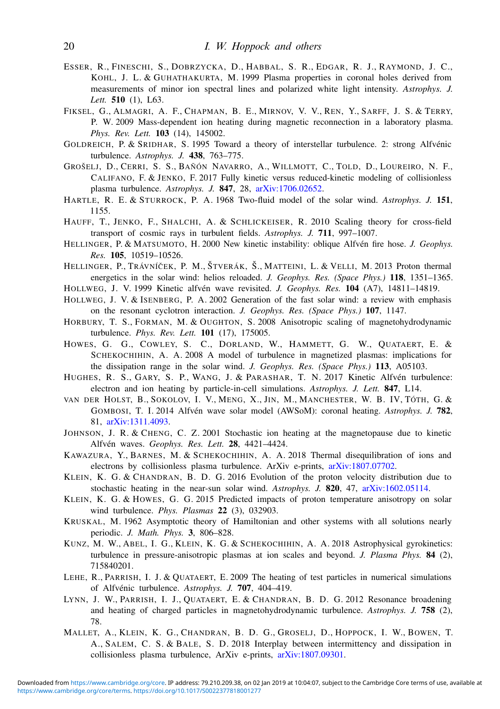- <span id="page-19-5"></span>ESSER, R., FINESCHI, S., DOBRZYCKA, D., HABBAL, S. R., EDGAR, R. J., RAYMOND, J. C., KOHL, J. L. & GUHATHAKURTA, M. 1999 Plasma properties in coronal holes derived from measurements of minor ion spectral lines and polarized white light intensity. *Astrophys. J. Lett.* 510 (1), L63.
- <span id="page-19-13"></span>FIKSEL, G., ALMAGRI, A. F., CHAPMAN, B. E., MIRNOV, V. V., REN, Y., SARFF, J. S. & TERRY, P. W. 2009 Mass-dependent ion heating during magnetic reconnection in a laboratory plasma. *Phys. Rev. Lett.* 103 (14), 145002.
- <span id="page-19-2"></span>GOLDREICH, P. & SRIDHAR, S. 1995 Toward a theory of interstellar turbulence. 2: strong Alfvénic turbulence. *Astrophys. J.* 438, 763–775.
- <span id="page-19-10"></span>GROŠELJ, D., CERRI, S. S., BAÑÓN NAVARRO, A., WILLMOTT, C., TOLD, D., LOUREIRO, N. F., CALIFANO, F. & JENKO, F. 2017 Fully kinetic versus reduced-kinetic modeling of collisionless plasma turbulence. *Astrophys. J.* 847, 28, [arXiv:1706.02652.](http://www.arxiv.org/abs/1706.02652)
- <span id="page-19-0"></span>HARTLE, R. E. & STURROCK, P. A. 1968 Two-fluid model of the solar wind. *Astrophys. J.* 151, 1155.
- <span id="page-19-20"></span>HAUFF, T., JENKO, F., SHALCHI, A. & SCHLICKEISER, R. 2010 Scaling theory for cross-field transport of cosmic rays in turbulent fields. *Astrophys. J.* 711, 997–1007.
- <span id="page-19-14"></span>HELLINGER, P. & MATSUMOTO, H. 2000 New kinetic instability: oblique Alfvén fire hose. *J. Geophys. Res.* 105, 10519–10526.
- <span id="page-19-6"></span>HELLINGER, P., TRÁVNÍČEK, P. M., ŠTVERÁK, Š., MATTEINI, L. & VELLI, M. 2013 Proton thermal energetics in the solar wind: helios reloaded. *J. Geophys. Res. (Space Phys.)* 118, 1351–1365.
- <span id="page-19-18"></span>HOLLWEG, J. V. 1999 Kinetic alfvén wave revisited. *J. Geophys. Res.* 104 (A7), 14811–14819.
- <span id="page-19-17"></span>HOLLWEG, J. V. & ISENBERG, P. A. 2002 Generation of the fast solar wind: a review with emphasis on the resonant cyclotron interaction. *J. Geophys. Res. (Space Phys.)* 107, 1147.
- <span id="page-19-3"></span>HORBURY, T. S., FORMAN, M. & OUGHTON, S. 2008 Anisotropic scaling of magnetohydrodynamic turbulence. *Phys. Rev. Lett.* 101 (17), 175005.
- <span id="page-19-4"></span>HOWES, G. G., COWLEY, S. C., DORLAND, W., HAMMETT, G. W., QUATAERT, E. & SCHEKOCHIHIN, A. A. 2008 A model of turbulence in magnetized plasmas: implications for the dissipation range in the solar wind. *J. Geophys. Res. (Space Phys.)* 113, A05103.
- <span id="page-19-11"></span>HUGHES, R. S., GARY, S. P., WANG, J. & PARASHAR, T. N. 2017 Kinetic Alfvén turbulence: electron and ion heating by particle-in-cell simulations. *Astrophys. J. Lett.* 847, L14.
- <span id="page-19-1"></span>VAN DER HOLST, B., SOKOLOV, I. V., MENG, X., JIN, M., MANCHESTER, W. B. IV, TÓTH, G. & GOMBOSI, T. I. 2014 Alfvén wave solar model (AWSoM): coronal heating. *Astrophys. J.* 782, 81, [arXiv:1311.4093.](http://www.arxiv.org/abs/1311.4093)
- <span id="page-19-12"></span>JOHNSON, J. R. & CHENG, C. Z. 2001 Stochastic ion heating at the magnetopause due to kinetic Alfvén waves. *Geophys. Res. Lett.* 28, 4421–4424.
- <span id="page-19-9"></span>KAWAZURA, Y., BARNES, M. & SCHEKOCHIHIN, A. A. 2018 Thermal disequilibration of ions and electrons by collisionless plasma turbulence. ArXiv e-prints, [arXiv:1807.07702.](http://www.arxiv.org/abs/1807.07702)
- <span id="page-19-21"></span>KLEIN, K. G. & CHANDRAN, B. D. G. 2016 Evolution of the proton velocity distribution due to stochastic heating in the near-sun solar wind. *Astrophys. J.* 820, 47, [arXiv:1602.05114.](http://www.arxiv.org/abs/1602.05114)
- <span id="page-19-22"></span>KLEIN, K. G. & HOWES, G. G. 2015 Predicted impacts of proton temperature anisotropy on solar wind turbulence. *Phys. Plasmas* 22 (3), 032903.
- <span id="page-19-16"></span>KRUSKAL, M. 1962 Asymptotic theory of Hamiltonian and other systems with all solutions nearly periodic. *J. Math. Phys.* 3, 806–828.
- <span id="page-19-15"></span>KUNZ, M. W., ABEL, I. G., KLEIN, K. G. & SCHEKOCHIHIN, A. A. 2018 Astrophysical gyrokinetics: turbulence in pressure-anisotropic plasmas at ion scales and beyond. *J. Plasma Phys.* 84 (2), 715840201.
- <span id="page-19-7"></span>LEHE, R., PARRISH, I. J. & QUATAERT, E. 2009 The heating of test particles in numerical simulations of Alfvénic turbulence. *Astrophys. J.* 707, 404–419.
- <span id="page-19-8"></span>LYNN, J. W., PARRISH, I. J., QUATAERT, E. & CHANDRAN, B. D. G. 2012 Resonance broadening and heating of charged particles in magnetohydrodynamic turbulence. *Astrophys. J.* 758 (2), 78.
- <span id="page-19-19"></span>MALLET, A., KLEIN, K. G., CHANDRAN, B. D. G., GROSELJ, D., HOPPOCK, I. W., BOWEN, T. A., SALEM, C. S. & BALE, S. D. 2018 Interplay between intermittency and dissipation in collisionless plasma turbulence, ArXiv e-prints, [arXiv:1807.09301.](http://www.arxiv.org/abs/1807.09301)